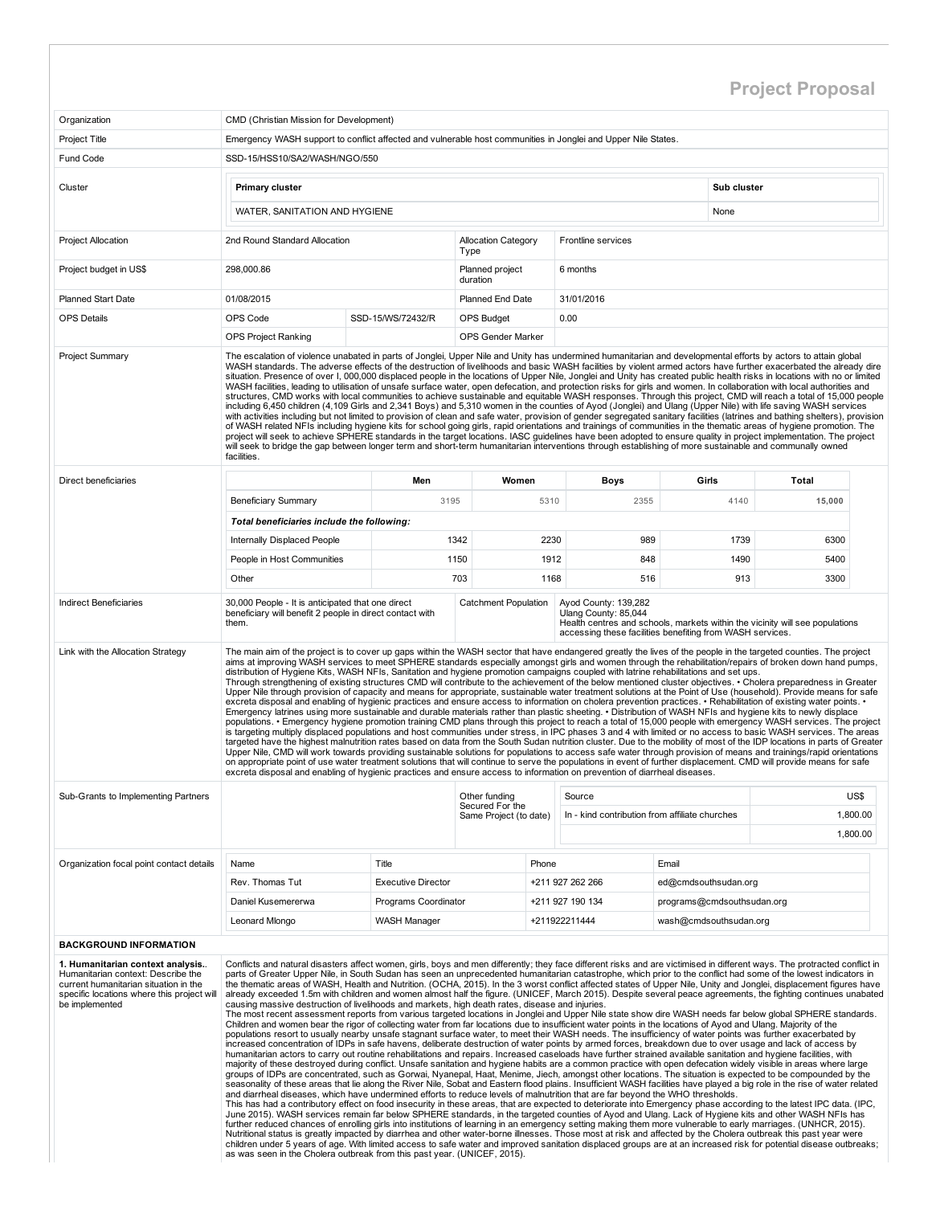## Project Proposal

| Organization                                                                                                                                                                    | CMD (Christian Mission for Development)                                                                                                                                                                                                                                                                                                                                                                                                                                                                                                                                                                                                                                                                                                                                                                                                                                                                                                                                                                                                                                                                                                                                                                                                                                                                                                                                                                                                                                                                                                                                                                                                                                                                                                                                                                                                                                                                                                                                                                                                                                                                                                           |                           |                                           |       |                                                                                                           |                            |                                                                              |          |
|---------------------------------------------------------------------------------------------------------------------------------------------------------------------------------|---------------------------------------------------------------------------------------------------------------------------------------------------------------------------------------------------------------------------------------------------------------------------------------------------------------------------------------------------------------------------------------------------------------------------------------------------------------------------------------------------------------------------------------------------------------------------------------------------------------------------------------------------------------------------------------------------------------------------------------------------------------------------------------------------------------------------------------------------------------------------------------------------------------------------------------------------------------------------------------------------------------------------------------------------------------------------------------------------------------------------------------------------------------------------------------------------------------------------------------------------------------------------------------------------------------------------------------------------------------------------------------------------------------------------------------------------------------------------------------------------------------------------------------------------------------------------------------------------------------------------------------------------------------------------------------------------------------------------------------------------------------------------------------------------------------------------------------------------------------------------------------------------------------------------------------------------------------------------------------------------------------------------------------------------------------------------------------------------------------------------------------------------|---------------------------|-------------------------------------------|-------|-----------------------------------------------------------------------------------------------------------|----------------------------|------------------------------------------------------------------------------|----------|
| <b>Project Title</b>                                                                                                                                                            | Emergency WASH support to conflict affected and vulnerable host communities in Jonglei and Upper Nile States.                                                                                                                                                                                                                                                                                                                                                                                                                                                                                                                                                                                                                                                                                                                                                                                                                                                                                                                                                                                                                                                                                                                                                                                                                                                                                                                                                                                                                                                                                                                                                                                                                                                                                                                                                                                                                                                                                                                                                                                                                                     |                           |                                           |       |                                                                                                           |                            |                                                                              |          |
| Fund Code                                                                                                                                                                       | SSD-15/HSS10/SA2/WASH/NGO/550                                                                                                                                                                                                                                                                                                                                                                                                                                                                                                                                                                                                                                                                                                                                                                                                                                                                                                                                                                                                                                                                                                                                                                                                                                                                                                                                                                                                                                                                                                                                                                                                                                                                                                                                                                                                                                                                                                                                                                                                                                                                                                                     |                           |                                           |       |                                                                                                           |                            |                                                                              |          |
| Cluster                                                                                                                                                                         | Primary cluster                                                                                                                                                                                                                                                                                                                                                                                                                                                                                                                                                                                                                                                                                                                                                                                                                                                                                                                                                                                                                                                                                                                                                                                                                                                                                                                                                                                                                                                                                                                                                                                                                                                                                                                                                                                                                                                                                                                                                                                                                                                                                                                                   |                           |                                           |       |                                                                                                           | Sub cluster                |                                                                              |          |
|                                                                                                                                                                                 | WATER, SANITATION AND HYGIENE                                                                                                                                                                                                                                                                                                                                                                                                                                                                                                                                                                                                                                                                                                                                                                                                                                                                                                                                                                                                                                                                                                                                                                                                                                                                                                                                                                                                                                                                                                                                                                                                                                                                                                                                                                                                                                                                                                                                                                                                                                                                                                                     |                           |                                           |       |                                                                                                           | None                       |                                                                              |          |
| <b>Project Allocation</b>                                                                                                                                                       | 2nd Round Standard Allocation                                                                                                                                                                                                                                                                                                                                                                                                                                                                                                                                                                                                                                                                                                                                                                                                                                                                                                                                                                                                                                                                                                                                                                                                                                                                                                                                                                                                                                                                                                                                                                                                                                                                                                                                                                                                                                                                                                                                                                                                                                                                                                                     |                           | <b>Allocation Category</b><br>Type        |       | Frontline services                                                                                        |                            |                                                                              |          |
| Project budget in US\$                                                                                                                                                          | 298,000.86                                                                                                                                                                                                                                                                                                                                                                                                                                                                                                                                                                                                                                                                                                                                                                                                                                                                                                                                                                                                                                                                                                                                                                                                                                                                                                                                                                                                                                                                                                                                                                                                                                                                                                                                                                                                                                                                                                                                                                                                                                                                                                                                        |                           | Planned project<br>duration               |       | 6 months                                                                                                  |                            |                                                                              |          |
| <b>Planned Start Date</b>                                                                                                                                                       | 01/08/2015                                                                                                                                                                                                                                                                                                                                                                                                                                                                                                                                                                                                                                                                                                                                                                                                                                                                                                                                                                                                                                                                                                                                                                                                                                                                                                                                                                                                                                                                                                                                                                                                                                                                                                                                                                                                                                                                                                                                                                                                                                                                                                                                        |                           | Planned End Date                          |       | 31/01/2016                                                                                                |                            |                                                                              |          |
| <b>OPS Details</b>                                                                                                                                                              | OPS Code                                                                                                                                                                                                                                                                                                                                                                                                                                                                                                                                                                                                                                                                                                                                                                                                                                                                                                                                                                                                                                                                                                                                                                                                                                                                                                                                                                                                                                                                                                                                                                                                                                                                                                                                                                                                                                                                                                                                                                                                                                                                                                                                          | SSD-15/WS/72432/R         | <b>OPS Budget</b>                         |       | 0.00                                                                                                      |                            |                                                                              |          |
|                                                                                                                                                                                 | <b>OPS Project Ranking</b>                                                                                                                                                                                                                                                                                                                                                                                                                                                                                                                                                                                                                                                                                                                                                                                                                                                                                                                                                                                                                                                                                                                                                                                                                                                                                                                                                                                                                                                                                                                                                                                                                                                                                                                                                                                                                                                                                                                                                                                                                                                                                                                        |                           | OPS Gender Marker                         |       |                                                                                                           |                            |                                                                              |          |
| Project Summary                                                                                                                                                                 | The escalation of violence unabated in parts of Jonglei, Upper Nile and Unity has undermined humanitarian and developmental efforts by actors to attain global<br>WASH standards. The adverse effects of the destruction of livelihoods and basic WASH facilities by violent armed actors have further exacerbated the already dire<br>situation. Presence of over I, 000,000 displaced people in the locations of Upper Nile, Jonglei and Unity has created public health risks in locations with no or limited<br>WASH facilities, leading to utilisation of unsafe surface water, open defecation, and protection risks for girls and women. In collaboration with local authorities and<br>structures, CMD works with local communities to achieve sustainable and equitable WASH responses. Through this project, CMD will reach a total of 15,000 people<br>including 6,450 children (4,109 Girls and 2,341 Boys) and 5,310 women in the counties of Ayod (Jonglei) and Ulang (Upper Nile) with life saving WASH services<br>with activities including but not limited to provision of clean and safe water, provision of gender segregated sanitary facilities (latrines and bathing shelters), provision<br>of WASH related NFIs including hygiene kits for school going girls, rapid orientations and trainings of communities in the thematic areas of hygiene promotion. The<br>project will seek to achieve SPHERE standards in the target locations. IASC guidelines have been adopted to ensure quality in project implementation. The project<br>will seek to bridge the gap between longer term and short-term humanitarian interventions through establishing of more sustainable and communally owned<br>facilities.                                                                                                                                                                                                                                                                                                                                                                                                            |                           |                                           |       |                                                                                                           |                            |                                                                              |          |
| Direct beneficiaries                                                                                                                                                            |                                                                                                                                                                                                                                                                                                                                                                                                                                                                                                                                                                                                                                                                                                                                                                                                                                                                                                                                                                                                                                                                                                                                                                                                                                                                                                                                                                                                                                                                                                                                                                                                                                                                                                                                                                                                                                                                                                                                                                                                                                                                                                                                                   | Men                       |                                           | Women | <b>Boys</b>                                                                                               | Girls                      | <b>Total</b>                                                                 |          |
|                                                                                                                                                                                 | <b>Beneficiary Summary</b>                                                                                                                                                                                                                                                                                                                                                                                                                                                                                                                                                                                                                                                                                                                                                                                                                                                                                                                                                                                                                                                                                                                                                                                                                                                                                                                                                                                                                                                                                                                                                                                                                                                                                                                                                                                                                                                                                                                                                                                                                                                                                                                        | 3195                      |                                           | 5310  | 2355                                                                                                      | 4140                       | 15,000                                                                       |          |
|                                                                                                                                                                                 | Total beneficiaries include the following:                                                                                                                                                                                                                                                                                                                                                                                                                                                                                                                                                                                                                                                                                                                                                                                                                                                                                                                                                                                                                                                                                                                                                                                                                                                                                                                                                                                                                                                                                                                                                                                                                                                                                                                                                                                                                                                                                                                                                                                                                                                                                                        |                           |                                           |       |                                                                                                           |                            |                                                                              |          |
|                                                                                                                                                                                 | Internally Displaced People                                                                                                                                                                                                                                                                                                                                                                                                                                                                                                                                                                                                                                                                                                                                                                                                                                                                                                                                                                                                                                                                                                                                                                                                                                                                                                                                                                                                                                                                                                                                                                                                                                                                                                                                                                                                                                                                                                                                                                                                                                                                                                                       |                           | 1342                                      | 2230  | 989                                                                                                       |                            | 1739<br>6300                                                                 |          |
|                                                                                                                                                                                 | People in Host Communities                                                                                                                                                                                                                                                                                                                                                                                                                                                                                                                                                                                                                                                                                                                                                                                                                                                                                                                                                                                                                                                                                                                                                                                                                                                                                                                                                                                                                                                                                                                                                                                                                                                                                                                                                                                                                                                                                                                                                                                                                                                                                                                        |                           | 1150                                      | 1912  | 848                                                                                                       |                            | 1490<br>5400                                                                 |          |
|                                                                                                                                                                                 | Other                                                                                                                                                                                                                                                                                                                                                                                                                                                                                                                                                                                                                                                                                                                                                                                                                                                                                                                                                                                                                                                                                                                                                                                                                                                                                                                                                                                                                                                                                                                                                                                                                                                                                                                                                                                                                                                                                                                                                                                                                                                                                                                                             |                           | 703                                       | 1168  | 516                                                                                                       |                            | 913<br>3300                                                                  |          |
| <b>Indirect Beneficiaries</b>                                                                                                                                                   | 30,000 People - It is anticipated that one direct<br>beneficiary will benefit 2 people in direct contact with<br>them.                                                                                                                                                                                                                                                                                                                                                                                                                                                                                                                                                                                                                                                                                                                                                                                                                                                                                                                                                                                                                                                                                                                                                                                                                                                                                                                                                                                                                                                                                                                                                                                                                                                                                                                                                                                                                                                                                                                                                                                                                            |                           | <b>Catchment Population</b>               |       | Ayod County: 139,282<br>Ulang County: 85,044<br>accessing these facilities benefiting from WASH services. |                            | Health centres and schools, markets within the vicinity will see populations |          |
| Link with the Allocation Strategy                                                                                                                                               | The main aim of the project is to cover up gaps within the WASH sector that have endangered greatly the lives of the people in the targeted counties. The project<br>aims at improving WASH services to meet SPHERE standards especially amongst girls and women through the rehabilitation/repairs of broken down hand pumps,<br>distribution of Hygiene Kits, WASH NFIs, Sanitation and hygiene promotion campaigns coupled with latrine rehabilitations and set ups.<br>Through strengthening of existing structures CMD will contribute to the achievement of the below mentioned cluster objectives. • Cholera preparedness in Greater<br>Upper Nile through provision of capacity and means for appropriate, sustainable water treatment solutions at the Point of Use (household). Provide means for safe<br>excreta disposal and enabling of hygienic practices and ensure access to information on cholera prevention practices. • Rehabilitation of existing water points. •<br>Emergency latrines using more sustainable and durable materials rather than plastic sheeting. • Distribution of WASH NFIs and hygiene kits to newly displace<br>populations. • Emergency hygiene promotion training CMD plans through this project to reach a total of 15,000 people with emergency WASH services. The project<br>is targeting multiply displaced populations and host communities under stress, in IPC phases 3 and 4 with limited or no access to basic WASH services. The areas<br>targeted have the highest malnutrition rates based on data from the South Sudan nutrition cluster. Due to the mobility of most of the IDP locations in parts of Greater<br>Upper Nile, CMD will work towards providing sustainable solutions for populations to access safe water through provision of means and trainings/rapid orientations<br>on appropriate point of use water treatment solutions that will continue to serve the populations in event of further displacement. CMD will provide means for safe<br>excreta disposal and enabling of hygienic practices and ensure access to information on prevention of diarrheal diseases. |                           |                                           |       |                                                                                                           |                            |                                                                              |          |
| Sub-Grants to Implementing Partners                                                                                                                                             |                                                                                                                                                                                                                                                                                                                                                                                                                                                                                                                                                                                                                                                                                                                                                                                                                                                                                                                                                                                                                                                                                                                                                                                                                                                                                                                                                                                                                                                                                                                                                                                                                                                                                                                                                                                                                                                                                                                                                                                                                                                                                                                                                   |                           | Other funding                             |       | Source                                                                                                    |                            |                                                                              | US\$     |
|                                                                                                                                                                                 |                                                                                                                                                                                                                                                                                                                                                                                                                                                                                                                                                                                                                                                                                                                                                                                                                                                                                                                                                                                                                                                                                                                                                                                                                                                                                                                                                                                                                                                                                                                                                                                                                                                                                                                                                                                                                                                                                                                                                                                                                                                                                                                                                   |                           | Secured For the<br>Same Project (to date) |       | In - kind contribution from affiliate churches                                                            |                            |                                                                              | 1.800.00 |
|                                                                                                                                                                                 |                                                                                                                                                                                                                                                                                                                                                                                                                                                                                                                                                                                                                                                                                                                                                                                                                                                                                                                                                                                                                                                                                                                                                                                                                                                                                                                                                                                                                                                                                                                                                                                                                                                                                                                                                                                                                                                                                                                                                                                                                                                                                                                                                   |                           |                                           |       |                                                                                                           |                            |                                                                              | 1,800.00 |
|                                                                                                                                                                                 |                                                                                                                                                                                                                                                                                                                                                                                                                                                                                                                                                                                                                                                                                                                                                                                                                                                                                                                                                                                                                                                                                                                                                                                                                                                                                                                                                                                                                                                                                                                                                                                                                                                                                                                                                                                                                                                                                                                                                                                                                                                                                                                                                   |                           |                                           |       |                                                                                                           |                            |                                                                              |          |
| Organization focal point contact details                                                                                                                                        | Name                                                                                                                                                                                                                                                                                                                                                                                                                                                                                                                                                                                                                                                                                                                                                                                                                                                                                                                                                                                                                                                                                                                                                                                                                                                                                                                                                                                                                                                                                                                                                                                                                                                                                                                                                                                                                                                                                                                                                                                                                                                                                                                                              | Title                     |                                           | Phone |                                                                                                           | Email                      |                                                                              |          |
|                                                                                                                                                                                 | Rev. Thomas Tut                                                                                                                                                                                                                                                                                                                                                                                                                                                                                                                                                                                                                                                                                                                                                                                                                                                                                                                                                                                                                                                                                                                                                                                                                                                                                                                                                                                                                                                                                                                                                                                                                                                                                                                                                                                                                                                                                                                                                                                                                                                                                                                                   | <b>Executive Director</b> |                                           |       | +211 927 262 266                                                                                          | ed@cmdsouthsudan.org       |                                                                              |          |
|                                                                                                                                                                                 | Daniel Kusemererwa                                                                                                                                                                                                                                                                                                                                                                                                                                                                                                                                                                                                                                                                                                                                                                                                                                                                                                                                                                                                                                                                                                                                                                                                                                                                                                                                                                                                                                                                                                                                                                                                                                                                                                                                                                                                                                                                                                                                                                                                                                                                                                                                | Programs Coordinator      |                                           |       | +211 927 190 134                                                                                          | programs@cmdsouthsudan.org |                                                                              |          |
|                                                                                                                                                                                 | Leonard Mlongo                                                                                                                                                                                                                                                                                                                                                                                                                                                                                                                                                                                                                                                                                                                                                                                                                                                                                                                                                                                                                                                                                                                                                                                                                                                                                                                                                                                                                                                                                                                                                                                                                                                                                                                                                                                                                                                                                                                                                                                                                                                                                                                                    | WASH Manager              |                                           |       | +211922211444                                                                                             | wash@cmdsouthsudan.org     |                                                                              |          |
| <b>BACKGROUND INFORMATION</b>                                                                                                                                                   |                                                                                                                                                                                                                                                                                                                                                                                                                                                                                                                                                                                                                                                                                                                                                                                                                                                                                                                                                                                                                                                                                                                                                                                                                                                                                                                                                                                                                                                                                                                                                                                                                                                                                                                                                                                                                                                                                                                                                                                                                                                                                                                                                   |                           |                                           |       |                                                                                                           |                            |                                                                              |          |
| 1. Humanitarian context analysis<br>Humanitarian context: Describe the<br>current humanitarian situation in the<br>specific locations where this project will<br>be implemented | Conflicts and natural disasters affect women, girls, boys and men differently; they face different risks and are victimised in different ways. The protracted conflict in<br>parts of Greater Upper Nile, in South Sudan has seen an unprecedented humanitarian catastrophe, which prior to the conflict had some of the lowest indicators in<br>the thematic areas of WASH, Health and Nutrition. (OCHA, 2015). In the 3 worst conflict affected states of Upper Nile, Unity and Jonglei, displacement figures have<br>already exceeded 1.5m with children and women almost half the figure. (UNICEF, March 2015). Despite several peace agreements, the fighting continues unabated<br>causing massive destruction of livelihoods and markets, high death rates, disease and injuries.<br>The most recent assessment reports from various targeted locations in Jonglei and Upper Nile state show dire WASH needs far below global SPHERE standards.                                                                                                                                                                                                                                                                                                                                                                                                                                                                                                                                                                                                                                                                                                                                                                                                                                                                                                                                                                                                                                                                                                                                                                                            |                           |                                           |       |                                                                                                           |                            |                                                                              |          |

The most recent assessment reports from various targeted locations in Jonglei and Upper Nile state show dire WASH needs far below global SPHERE standards.<br>Children and women bear the rigor of collecting water from far loca humanitarian actors to carry out routine rehabilitations and repairs. Increased caseloads have further strained available sanitation and hygiene facilities, with<br>majority of these destroyed during conflict. Unsafe sanitati

and diarrheal diseases, which have undermined efforts to reduce levels of malnutrition that are far beyond the WHO thresholds.<br>This has had a contributory effect on food insecurity in these areas, that are expected to dete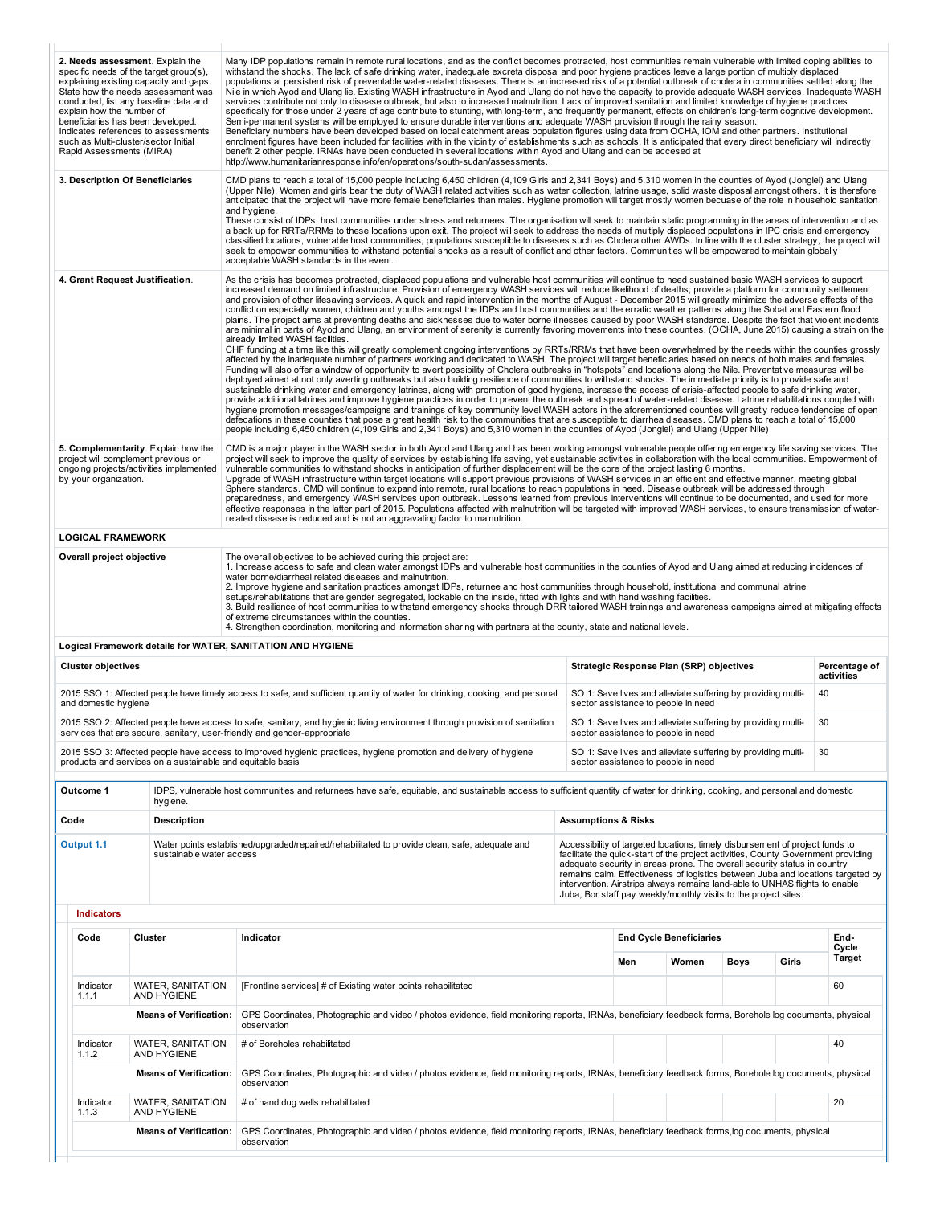| and domestic hygiene<br>Outcome 1<br>Code<br>Output 1.1<br><b>Indicators</b><br>Code<br>Indicator<br>1.1.1<br>Indicator<br>1.1.2<br>Indicator<br>1.1.3 | products and services on a sustainable and equitable basis<br>hygiene.<br><b>Description</b><br>sustainable water access<br>Cluster<br><b>WATER, SANITATION</b><br>AND HYGIENE<br><b>Means of Verification:</b><br><b>WATER, SANITATION</b><br>AND HYGIENE<br><b>Means of Verification:</b><br>WATER, SANITATION<br>AND HYGIENE | 2015 SSO 2: Affected people have access to safe, sanitary, and hygienic living environment through provision of sanitation<br>services that are secure, sanitary, user-friendly and gender-appropriate<br>2015 SSO 3: Affected people have access to improved hygienic practices, hygiene promotion and delivery of hygiene<br>IDPS, vulnerable host communities and returnees have safe, equitable, and sustainable access to sufficient quantity of water for drinking, cooking, and personal and domestic<br>Water points established/upgraded/repaired/rehabilitated to provide clean, safe, adequate and<br>Indicator<br>[Frontline services] # of Existing water points rehabilitated<br>GPS Coordinates, Photographic and video / photos evidence, field monitoring reports, IRNAs, beneficiary feedback forms, Borehole log documents, physical<br>observation<br># of Boreholes rehabilitated<br>GPS Coordinates, Photographic and video / photos evidence, field monitoring reports, IRNAs, beneficiary feedback forms, Borehole log documents, physical<br>observation<br># of hand dug wells rehabilitated                                                                                                                                                                                                                                                                                                                                                                    | <b>Assumptions &amp; Risks</b> | sector assistance to people in need<br>Men | sector assistance to people in need<br>SO 1: Save lives and alleviate suffering by providing multi-<br>Accessibility of targeted locations, timely disbursement of project funds to<br>facilitate the quick-start of the project activities, County Government providing<br>adequate security in areas prone. The overall security status in country<br>intervention. Airstrips always remains land-able to UNHAS flights to enable<br>Juba, Bor staff pay weekly/monthly visits to the project sites.<br><b>End Cycle Beneficiaries</b><br>Women | SO 1: Save lives and alleviate suffering by providing multi-<br><b>Boys</b> | Girls | 30<br>30<br>remains calm. Effectiveness of logistics between Juba and locations targeted by<br>End-<br>Cycle<br>Target<br>60<br>40<br>20 |
|--------------------------------------------------------------------------------------------------------------------------------------------------------|---------------------------------------------------------------------------------------------------------------------------------------------------------------------------------------------------------------------------------------------------------------------------------------------------------------------------------|-------------------------------------------------------------------------------------------------------------------------------------------------------------------------------------------------------------------------------------------------------------------------------------------------------------------------------------------------------------------------------------------------------------------------------------------------------------------------------------------------------------------------------------------------------------------------------------------------------------------------------------------------------------------------------------------------------------------------------------------------------------------------------------------------------------------------------------------------------------------------------------------------------------------------------------------------------------------------------------------------------------------------------------------------------------------------------------------------------------------------------------------------------------------------------------------------------------------------------------------------------------------------------------------------------------------------------------------------------------------------------------------------------------------------------------------------------------------------------------------|--------------------------------|--------------------------------------------|---------------------------------------------------------------------------------------------------------------------------------------------------------------------------------------------------------------------------------------------------------------------------------------------------------------------------------------------------------------------------------------------------------------------------------------------------------------------------------------------------------------------------------------------------|-----------------------------------------------------------------------------|-------|------------------------------------------------------------------------------------------------------------------------------------------|
|                                                                                                                                                        |                                                                                                                                                                                                                                                                                                                                 |                                                                                                                                                                                                                                                                                                                                                                                                                                                                                                                                                                                                                                                                                                                                                                                                                                                                                                                                                                                                                                                                                                                                                                                                                                                                                                                                                                                                                                                                                           |                                |                                            |                                                                                                                                                                                                                                                                                                                                                                                                                                                                                                                                                   |                                                                             |       |                                                                                                                                          |
|                                                                                                                                                        |                                                                                                                                                                                                                                                                                                                                 |                                                                                                                                                                                                                                                                                                                                                                                                                                                                                                                                                                                                                                                                                                                                                                                                                                                                                                                                                                                                                                                                                                                                                                                                                                                                                                                                                                                                                                                                                           |                                |                                            |                                                                                                                                                                                                                                                                                                                                                                                                                                                                                                                                                   |                                                                             |       |                                                                                                                                          |
|                                                                                                                                                        |                                                                                                                                                                                                                                                                                                                                 |                                                                                                                                                                                                                                                                                                                                                                                                                                                                                                                                                                                                                                                                                                                                                                                                                                                                                                                                                                                                                                                                                                                                                                                                                                                                                                                                                                                                                                                                                           |                                |                                            |                                                                                                                                                                                                                                                                                                                                                                                                                                                                                                                                                   |                                                                             |       |                                                                                                                                          |
|                                                                                                                                                        |                                                                                                                                                                                                                                                                                                                                 |                                                                                                                                                                                                                                                                                                                                                                                                                                                                                                                                                                                                                                                                                                                                                                                                                                                                                                                                                                                                                                                                                                                                                                                                                                                                                                                                                                                                                                                                                           |                                |                                            |                                                                                                                                                                                                                                                                                                                                                                                                                                                                                                                                                   |                                                                             |       |                                                                                                                                          |
|                                                                                                                                                        |                                                                                                                                                                                                                                                                                                                                 |                                                                                                                                                                                                                                                                                                                                                                                                                                                                                                                                                                                                                                                                                                                                                                                                                                                                                                                                                                                                                                                                                                                                                                                                                                                                                                                                                                                                                                                                                           |                                |                                            |                                                                                                                                                                                                                                                                                                                                                                                                                                                                                                                                                   |                                                                             |       |                                                                                                                                          |
|                                                                                                                                                        |                                                                                                                                                                                                                                                                                                                                 |                                                                                                                                                                                                                                                                                                                                                                                                                                                                                                                                                                                                                                                                                                                                                                                                                                                                                                                                                                                                                                                                                                                                                                                                                                                                                                                                                                                                                                                                                           |                                |                                            |                                                                                                                                                                                                                                                                                                                                                                                                                                                                                                                                                   |                                                                             |       |                                                                                                                                          |
|                                                                                                                                                        |                                                                                                                                                                                                                                                                                                                                 |                                                                                                                                                                                                                                                                                                                                                                                                                                                                                                                                                                                                                                                                                                                                                                                                                                                                                                                                                                                                                                                                                                                                                                                                                                                                                                                                                                                                                                                                                           |                                |                                            |                                                                                                                                                                                                                                                                                                                                                                                                                                                                                                                                                   |                                                                             |       |                                                                                                                                          |
|                                                                                                                                                        |                                                                                                                                                                                                                                                                                                                                 |                                                                                                                                                                                                                                                                                                                                                                                                                                                                                                                                                                                                                                                                                                                                                                                                                                                                                                                                                                                                                                                                                                                                                                                                                                                                                                                                                                                                                                                                                           |                                |                                            |                                                                                                                                                                                                                                                                                                                                                                                                                                                                                                                                                   |                                                                             |       |                                                                                                                                          |
|                                                                                                                                                        |                                                                                                                                                                                                                                                                                                                                 |                                                                                                                                                                                                                                                                                                                                                                                                                                                                                                                                                                                                                                                                                                                                                                                                                                                                                                                                                                                                                                                                                                                                                                                                                                                                                                                                                                                                                                                                                           |                                |                                            |                                                                                                                                                                                                                                                                                                                                                                                                                                                                                                                                                   |                                                                             |       |                                                                                                                                          |
|                                                                                                                                                        |                                                                                                                                                                                                                                                                                                                                 |                                                                                                                                                                                                                                                                                                                                                                                                                                                                                                                                                                                                                                                                                                                                                                                                                                                                                                                                                                                                                                                                                                                                                                                                                                                                                                                                                                                                                                                                                           |                                |                                            |                                                                                                                                                                                                                                                                                                                                                                                                                                                                                                                                                   |                                                                             |       |                                                                                                                                          |
|                                                                                                                                                        |                                                                                                                                                                                                                                                                                                                                 |                                                                                                                                                                                                                                                                                                                                                                                                                                                                                                                                                                                                                                                                                                                                                                                                                                                                                                                                                                                                                                                                                                                                                                                                                                                                                                                                                                                                                                                                                           |                                |                                            |                                                                                                                                                                                                                                                                                                                                                                                                                                                                                                                                                   |                                                                             |       |                                                                                                                                          |
|                                                                                                                                                        |                                                                                                                                                                                                                                                                                                                                 |                                                                                                                                                                                                                                                                                                                                                                                                                                                                                                                                                                                                                                                                                                                                                                                                                                                                                                                                                                                                                                                                                                                                                                                                                                                                                                                                                                                                                                                                                           |                                |                                            |                                                                                                                                                                                                                                                                                                                                                                                                                                                                                                                                                   |                                                                             |       |                                                                                                                                          |
|                                                                                                                                                        |                                                                                                                                                                                                                                                                                                                                 | 2015 SSO 1: Affected people have timely access to safe, and sufficient quantity of water for drinking, cooking, and personal                                                                                                                                                                                                                                                                                                                                                                                                                                                                                                                                                                                                                                                                                                                                                                                                                                                                                                                                                                                                                                                                                                                                                                                                                                                                                                                                                              |                                |                                            | SO 1: Save lives and alleviate suffering by providing multi-<br>sector assistance to people in need                                                                                                                                                                                                                                                                                                                                                                                                                                               |                                                                             |       | 40                                                                                                                                       |
| <b>Cluster objectives</b>                                                                                                                              |                                                                                                                                                                                                                                                                                                                                 |                                                                                                                                                                                                                                                                                                                                                                                                                                                                                                                                                                                                                                                                                                                                                                                                                                                                                                                                                                                                                                                                                                                                                                                                                                                                                                                                                                                                                                                                                           |                                |                                            | Strategic Response Plan (SRP) objectives                                                                                                                                                                                                                                                                                                                                                                                                                                                                                                          |                                                                             |       | Percentage of<br>activities                                                                                                              |
|                                                                                                                                                        |                                                                                                                                                                                                                                                                                                                                 | Logical Framework details for WATER, SANITATION AND HYGIENE                                                                                                                                                                                                                                                                                                                                                                                                                                                                                                                                                                                                                                                                                                                                                                                                                                                                                                                                                                                                                                                                                                                                                                                                                                                                                                                                                                                                                               |                                |                                            |                                                                                                                                                                                                                                                                                                                                                                                                                                                                                                                                                   |                                                                             |       |                                                                                                                                          |
| Overall project objective                                                                                                                              |                                                                                                                                                                                                                                                                                                                                 | The overall objectives to be achieved during this project are:<br>1. Increase access to safe and clean water amongst IDPs and vulnerable host communities in the counties of Ayod and Ulang aimed at reducing incidences of<br>water borne/diarrheal related diseases and malnutrition.<br>2. Improve hygiene and sanitation practices amongst IDPs, returnee and host communities through household, institutional and communal latrine<br>setups/rehabilitations that are gender segregated, lockable on the inside, fitted with lights and with hand washing facilities.<br>3. Build resilience of host communities to withstand emergency shocks through DRR tailored WASH trainings and awareness campaigns aimed at mitigating effects<br>of extreme circumstances within the counties.<br>4. Strengthen coordination, monitoring and information sharing with partners at the county, state and national levels.                                                                                                                                                                                                                                                                                                                                                                                                                                                                                                                                                                   |                                |                                            |                                                                                                                                                                                                                                                                                                                                                                                                                                                                                                                                                   |                                                                             |       |                                                                                                                                          |
| <b>LOGICAL FRAMEWORK</b>                                                                                                                               |                                                                                                                                                                                                                                                                                                                                 | related disease is reduced and is not an aggravating factor to malnutrition.                                                                                                                                                                                                                                                                                                                                                                                                                                                                                                                                                                                                                                                                                                                                                                                                                                                                                                                                                                                                                                                                                                                                                                                                                                                                                                                                                                                                              |                                |                                            |                                                                                                                                                                                                                                                                                                                                                                                                                                                                                                                                                   |                                                                             |       |                                                                                                                                          |
| by your organization.                                                                                                                                  | 5. Complementarity. Explain how the<br>project will complement previous or<br>ongoing projects/activities implemented                                                                                                                                                                                                           | CMD is a major player in the WASH sector in both Ayod and Ulang and has been working amongst vulnerable people offering emergency life saving services. The<br>project will seek to improve the quality of services by establishing life saving, yet sustainable activities in collaboration with the local communities. Empowerment of<br>vulnerable communities to withstand shocks in anticipation of further displacement will be the core of the project lasting 6 months.<br>Upgrade of WASH infrastructure within target locations will support previous provisions of WASH services in an efficient and effective manner, meeting global<br>Sphere standards. CMD will continue to expand into remote, rural locations to reach populations in need. Disease outbreak will be addressed through<br>preparedness, and emergency WASH services upon outbreak. Lessons learned from previous interventions will continue to be documented, and used for more<br>effective responses in the latter part of 2015. Populations affected with malnutrition will be targeted with improved WASH services, to ensure transmission of water-                                                                                                                                                                                                                                                                                                                                                |                                |                                            |                                                                                                                                                                                                                                                                                                                                                                                                                                                                                                                                                   |                                                                             |       |                                                                                                                                          |
|                                                                                                                                                        |                                                                                                                                                                                                                                                                                                                                 | CHF funding at a time like this will greatly complement ongoing interventions by RRTs/RRMs that have been overwhelmed by the needs within the counties grossly<br>affected by the inadequate number of partners working and dedicated to WASH. The project will target beneficiaries based on needs of both males and females.<br>Funding will also offer a window of opportunity to avert possibility of Cholera outbreaks in "hotspots" and locations along the Nile. Preventative measures will be<br>deployed aimed at not only averting outbreaks but also building resilience of communities to withstand shocks. The immediate priority is to provide safe and<br>sustainable drinking water and emergency latrines, along with promotion of good hygiene, increase the access of crisis-affected people to safe drinking water,<br>provide additional latrines and improve hygiene practices in order to prevent the outbreak and spread of water-related disease. Latrine rehabilitations coupled with<br>hygiene promotion messages/campaigns and trainings of key community level WASH actors in the aforementioned counties will greatly reduce tendencies of open<br>defecations in these counties that pose a great health risk to the communities that are susceptible to diarrhea diseases. CMD plans to reach a total of 15,000<br>people including 6,450 children (4,109 Girls and 2,341 Boys) and 5,310 women in the counties of Ayod (Jonglei) and Ulang (Upper Nile) |                                |                                            |                                                                                                                                                                                                                                                                                                                                                                                                                                                                                                                                                   |                                                                             |       |                                                                                                                                          |
|                                                                                                                                                        | 4. Grant Request Justification.                                                                                                                                                                                                                                                                                                 | As the crisis has becomes protracted, displaced populations and vulnerable host communities will continue to need sustained basic WASH services to support<br>increased demand on limited infrastructure. Provision of emergency WASH services will reduce likelihood of deaths; provide a platform for community settlement<br>and provision of other lifesaving services. A quick and rapid intervention in the months of August - December 2015 will greatly minimize the adverse effects of the<br>conflict on especially women, children and youths amongst the IDPs and host communities and the erratic weather patterns along the Sobat and Eastern flood<br>plains. The project aims at preventing deaths and sicknesses due to water borne illnesses caused by poor WASH standards. Despite the fact that violent incidents<br>are minimal in parts of Ayod and Ulang, an environment of serenity is currently favoring movements into these counties. (OCHA, June 2015) causing a strain on the<br>already limited WASH facilities.                                                                                                                                                                                                                                                                                                                                                                                                                                            |                                |                                            |                                                                                                                                                                                                                                                                                                                                                                                                                                                                                                                                                   |                                                                             |       |                                                                                                                                          |
|                                                                                                                                                        | 3. Description Of Beneficiaries                                                                                                                                                                                                                                                                                                 | CMD plans to reach a total of 15,000 people including 6,450 children (4,109 Girls and 2,341 Boys) and 5,310 women in the counties of Ayod (Jonglei) and Ulang<br>(Upper Nile). Women and girls bear the duty of WASH related activities such as water collection, latrine usage, solid waste disposal amongst others. It is therefore<br>anticipated that the project will have more female beneficiairies than males. Hygiene promotion will target mostly women becuase of the role in household sanitation<br>and hygiene.<br>These consist of IDPs, host communities under stress and returnees. The organisation will seek to maintain static programming in the areas of intervention and as<br>a back up for RRTs/RRMs to these locations upon exit. The project will seek to address the needs of multiply displaced populations in IPC crisis and emergency<br>classified locations, vulnerable host communities, populations susceptible to diseases such as Cholera other AWDs. In line with the cluster strategy, the project will<br>seek to empower communities to withstand potential shocks as a result of conflict and other factors. Communities will be empowered to maintain globally<br>acceptable WASH standards in the event.                                                                                                                                                                                                                                      |                                |                                            |                                                                                                                                                                                                                                                                                                                                                                                                                                                                                                                                                   |                                                                             |       |                                                                                                                                          |
|                                                                                                                                                        |                                                                                                                                                                                                                                                                                                                                 | enrolment figures have been included for facilities with in the vicinity of establishments such as schools. It is anticipated that every direct beneficiary will indirectly<br>benefit 2 other people. IRNAs have been conducted in several locations within Ayod and Ulang and can be accesed at<br>http://www.humanitarianresponse.info/en/operations/south-sudan/assessments.                                                                                                                                                                                                                                                                                                                                                                                                                                                                                                                                                                                                                                                                                                                                                                                                                                                                                                                                                                                                                                                                                                          |                                |                                            |                                                                                                                                                                                                                                                                                                                                                                                                                                                                                                                                                   |                                                                             |       |                                                                                                                                          |
| explain how the number of<br>Rapid Assessments (MIRA)                                                                                                  | explaining existing capacity and gaps.<br>State how the needs assessment was<br>conducted, list any baseline data and<br>beneficiaries has been developed.<br>Indicates references to assessments<br>such as Multi-cluster/sector Initial                                                                                       | populations at persistent risk of preventable water-related diseases. There is an increased risk of a potential outbreak of cholera in communities settled along the<br>Nile in which Ayod and Ulang lie. Existing WASH infrastructure in Ayod and Ulang do not have the capacity to provide adequate WASH services. Inadequate WASH<br>services contribute not only to disease outbreak, but also to increased malnutrition. Lack of improved sanitation and limited knowledge of hygiene practices<br>specifically for those under 2 years of age contribute to stunting, with long-term, and frequently permanent, effects on children's long-term cognitive development.<br>Semi-permanent systems will be employed to ensure durable interventions and adequate WASH provision through the rainy season.<br>Beneficiary numbers have been developed based on local catchment areas population figures using data from OCHA, IOM and other partners. Institutional                                                                                                                                                                                                                                                                                                                                                                                                                                                                                                                    |                                |                                            |                                                                                                                                                                                                                                                                                                                                                                                                                                                                                                                                                   |                                                                             |       |                                                                                                                                          |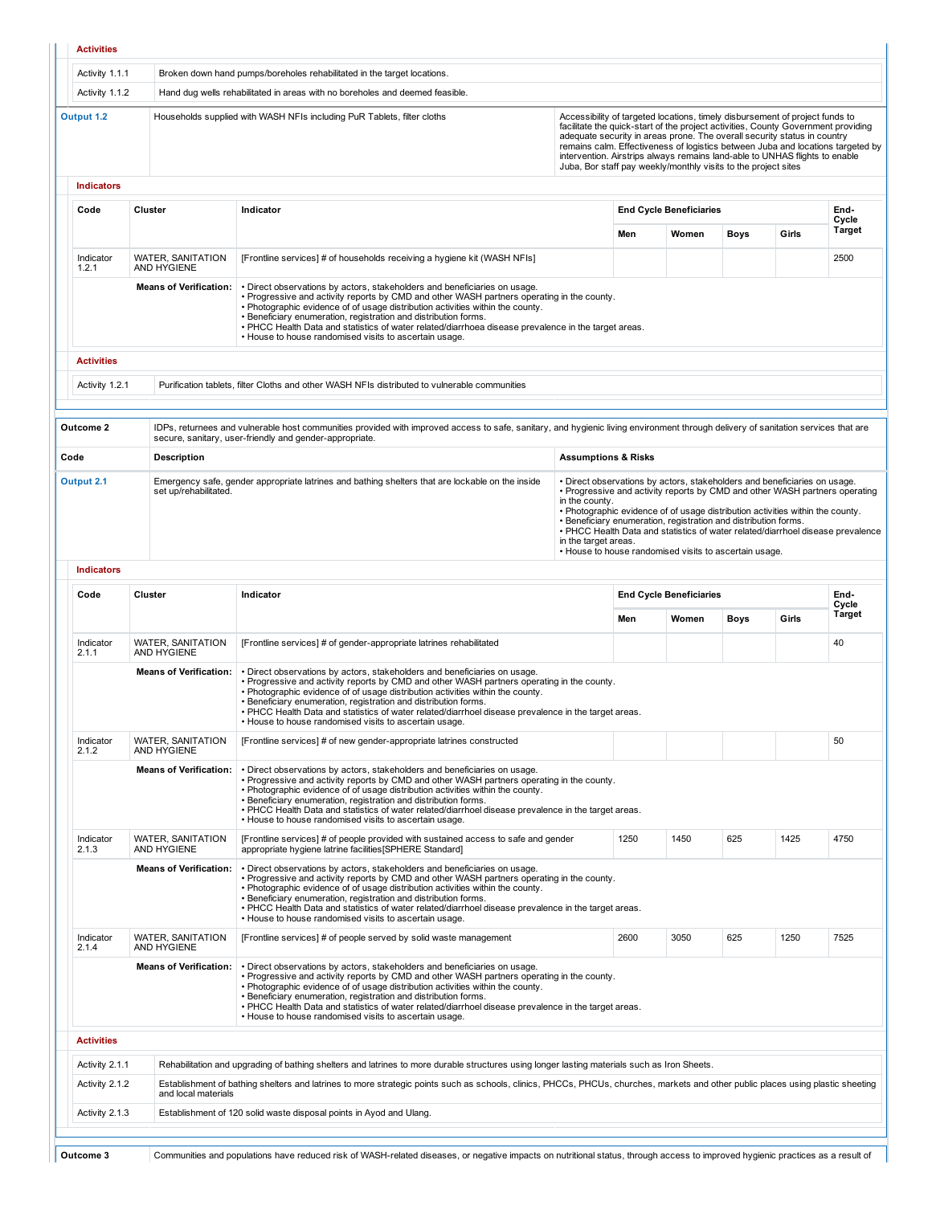| Activity 1.1.1<br>Broken down hand pumps/boreholes rehabilitated in the target locations.<br>Activity 1.1.2<br>Hand dug wells rehabilitated in areas with no boreholes and deemed feasible.<br>Output 1.2<br>Households supplied with WASH NFIs including PuR Tablets, filter cloths<br>Accessibility of targeted locations, timely disbursement of project funds to<br>facilitate the quick-start of the project activities, County Government providing<br>adequate security in areas prone. The overall security status in country<br>remains calm. Effectiveness of logistics between Juba and locations targeted by<br>intervention. Airstrips always remains land-able to UNHAS flights to enable<br>Juba, Bor staff pay weekly/monthly visits to the project sites<br><b>Indicators</b><br>Code<br>Cluster<br>Indicator<br><b>End Cycle Beneficiaries</b><br>Men<br>Women<br>Indicator<br><b>WATER, SANITATION</b><br>[Frontline services] # of households receiving a hygiene kit (WASH NFIs]<br>AND HYGIENE<br>1.2.1<br><b>Means of Verification:</b><br>. Direct observations by actors, stakeholders and beneficiaries on usage.<br>. Progressive and activity reports by CMD and other WASH partners operating in the county.<br>. Photographic evidence of of usage distribution activities within the county.<br>. Beneficiary enumeration, registration and distribution forms.<br>. PHCC Health Data and statistics of water related/diarrhoea disease prevalence in the target areas.<br>. House to house randomised visits to ascertain usage.<br><b>Activities</b><br>Activity 1.2.1<br>Purification tablets, filter Cloths and other WASH NFIs distributed to vulnerable communities<br>Outcome 2<br>IDPs, returnees and vulnerable host communities provided with improved access to safe, sanitary, and hygienic living environment through delivery of sanitation services that are<br>secure, sanitary, user-friendly and gender-appropriate.<br>Code<br><b>Description</b><br><b>Assumptions &amp; Risks</b><br>Output 2.1<br>Emergency safe, gender appropriate latrines and bathing shelters that are lockable on the inside<br>• Direct observations by actors, stakeholders and beneficiaries on usage.<br>• Progressive and activity reports by CMD and other WASH partners operating<br>set up/rehabilitated.<br>in the county.<br>. Photographic evidence of of usage distribution activities within the county.<br>• Beneficiary enumeration, registration and distribution forms.<br>. PHCC Health Data and statistics of water related/diarrhoel disease prevalence<br>in the target areas.<br>• House to house randomised visits to ascertain usage.<br><b>Indicators</b><br>Code<br>Cluster<br>Indicator<br><b>End Cycle Beneficiaries</b><br>Men<br>Women<br>WATER, SANITATION<br>[Frontline services] # of gender-appropriate latrines rehabilitated<br>Indicator<br>2.1.1<br>AND HYGIENE<br><b>Means of Verification:</b><br>. Direct observations by actors, stakeholders and beneficiaries on usage.<br>. Progressive and activity reports by CMD and other WASH partners operating in the county.<br>. Photographic evidence of of usage distribution activities within the county.<br>• Beneficiary enumeration, registration and distribution forms.<br>. PHCC Health Data and statistics of water related/diarrhoel disease prevalence in the target areas.<br>• House to house randomised visits to ascertain usage.<br><b>WATER, SANITATION</b><br>Indicator<br>[Frontline services] # of new gender-appropriate latrines constructed<br>2.1.2<br>AND HYGIENE<br><b>Means of Verification:</b><br>. Direct observations by actors, stakeholders and beneficiaries on usage.<br>. Progressive and activity reports by CMD and other WASH partners operating in the county.<br>. Photographic evidence of of usage distribution activities within the county.<br>. Beneficiary enumeration, registration and distribution forms.<br>. PHCC Health Data and statistics of water related/diarrhoel disease prevalence in the target areas.<br>. House to house randomised visits to ascertain usage.<br><b>WATER, SANITATION</b><br>1250<br>1450<br>[Frontline services] # of people provided with sustained access to safe and gender<br>Indicator<br>AND HYGIENE<br>appropriate hygiene latrine facilities SPHERE Standard]<br>2.1.3<br><b>Means of Verification:</b><br>. Direct observations by actors, stakeholders and beneficiaries on usage.<br>. Progressive and activity reports by CMD and other WASH partners operating in the county.<br>. Photographic evidence of of usage distribution activities within the county.<br>· Beneficiary enumeration, registration and distribution forms.<br>. PHCC Health Data and statistics of water related/diarrhoel disease prevalence in the target areas.<br>• House to house randomised visits to ascertain usage.<br>3050<br>Indicator<br><b>WATER, SANITATION</b><br>[Frontline services] # of people served by solid waste management<br>2600<br>AND HYGIENE<br>2.1.4<br><b>Means of Verification:</b><br>. Direct observations by actors, stakeholders and beneficiaries on usage.<br>. Progressive and activity reports by CMD and other WASH partners operating in the county.<br>. Photographic evidence of of usage distribution activities within the county.<br>. Beneficiary enumeration, registration and distribution forms. |  |                                                                                                      |  |      |       |                 |
|----------------------------------------------------------------------------------------------------------------------------------------------------------------------------------------------------------------------------------------------------------------------------------------------------------------------------------------------------------------------------------------------------------------------------------------------------------------------------------------------------------------------------------------------------------------------------------------------------------------------------------------------------------------------------------------------------------------------------------------------------------------------------------------------------------------------------------------------------------------------------------------------------------------------------------------------------------------------------------------------------------------------------------------------------------------------------------------------------------------------------------------------------------------------------------------------------------------------------------------------------------------------------------------------------------------------------------------------------------------------------------------------------------------------------------------------------------------------------------------------------------------------------------------------------------------------------------------------------------------------------------------------------------------------------------------------------------------------------------------------------------------------------------------------------------------------------------------------------------------------------------------------------------------------------------------------------------------------------------------------------------------------------------------------------------------------------------------------------------------------------------------------------------------------------------------------------------------------------------------------------------------------------------------------------------------------------------------------------------------------------------------------------------------------------------------------------------------------------------------------------------------------------------------------------------------------------------------------------------------------------------------------------------------------------------------------------------------------------------------------------------------------------------------------------------------------------------------------------------------------------------------------------------------------------------------------------------------------------------------------------------------------------------------------------------------------------------------------------------------------------------------------------------------------------------------------------------------------------------------------------------------------------------------------------------------------------------------------------------------------------------------------------------------------------------------------------------------------------------------------------------------------------------------------------------------------------------------------------------------------------------------------------------------------------------------------------------------------------------------------------------------------------------------------------------------------------------------------------------------------------------------------------------------------------------------------------------------------------------------------------------------------------------------------------------------------------------------------------------------------------------------------------------------------------------------------------------------------------------------------------------------------------------------------------------------------------------------------------------------------------------------------------------------------------------------------------------------------------------------------------------------------------------------------------------------------------------------------------------------------------------------------------------------------------------------------------------------------------------------------------------------------------------------------------------------------------------------------------------------------------------------------------------------------------------------------------------------------------------------------------------------------------------------------------------------------------------------------------------------------------------------------------------------------------------------------------------------------------------------------------------------------------------------------------------------------------------------------------------------------------------------------------------------------------------------------|--|------------------------------------------------------------------------------------------------------|--|------|-------|-----------------|
|                                                                                                                                                                                                                                                                                                                                                                                                                                                                                                                                                                                                                                                                                                                                                                                                                                                                                                                                                                                                                                                                                                                                                                                                                                                                                                                                                                                                                                                                                                                                                                                                                                                                                                                                                                                                                                                                                                                                                                                                                                                                                                                                                                                                                                                                                                                                                                                                                                                                                                                                                                                                                                                                                                                                                                                                                                                                                                                                                                                                                                                                                                                                                                                                                                                                                                                                                                                                                                                                                                                                                                                                                                                                                                                                                                                                                                                                                                                                                                                                                                                                                                                                                                                                                                                                                                                                                                                                                                                                                                                                                                                                                                                                                                                                                                                                                                                                                                                                                                                                                                                                                                                                                                                                                                                                                                                                                                                                                                              |  |                                                                                                      |  |      |       |                 |
|                                                                                                                                                                                                                                                                                                                                                                                                                                                                                                                                                                                                                                                                                                                                                                                                                                                                                                                                                                                                                                                                                                                                                                                                                                                                                                                                                                                                                                                                                                                                                                                                                                                                                                                                                                                                                                                                                                                                                                                                                                                                                                                                                                                                                                                                                                                                                                                                                                                                                                                                                                                                                                                                                                                                                                                                                                                                                                                                                                                                                                                                                                                                                                                                                                                                                                                                                                                                                                                                                                                                                                                                                                                                                                                                                                                                                                                                                                                                                                                                                                                                                                                                                                                                                                                                                                                                                                                                                                                                                                                                                                                                                                                                                                                                                                                                                                                                                                                                                                                                                                                                                                                                                                                                                                                                                                                                                                                                                                              |  |                                                                                                      |  |      |       |                 |
|                                                                                                                                                                                                                                                                                                                                                                                                                                                                                                                                                                                                                                                                                                                                                                                                                                                                                                                                                                                                                                                                                                                                                                                                                                                                                                                                                                                                                                                                                                                                                                                                                                                                                                                                                                                                                                                                                                                                                                                                                                                                                                                                                                                                                                                                                                                                                                                                                                                                                                                                                                                                                                                                                                                                                                                                                                                                                                                                                                                                                                                                                                                                                                                                                                                                                                                                                                                                                                                                                                                                                                                                                                                                                                                                                                                                                                                                                                                                                                                                                                                                                                                                                                                                                                                                                                                                                                                                                                                                                                                                                                                                                                                                                                                                                                                                                                                                                                                                                                                                                                                                                                                                                                                                                                                                                                                                                                                                                                              |  |                                                                                                      |  |      |       |                 |
|                                                                                                                                                                                                                                                                                                                                                                                                                                                                                                                                                                                                                                                                                                                                                                                                                                                                                                                                                                                                                                                                                                                                                                                                                                                                                                                                                                                                                                                                                                                                                                                                                                                                                                                                                                                                                                                                                                                                                                                                                                                                                                                                                                                                                                                                                                                                                                                                                                                                                                                                                                                                                                                                                                                                                                                                                                                                                                                                                                                                                                                                                                                                                                                                                                                                                                                                                                                                                                                                                                                                                                                                                                                                                                                                                                                                                                                                                                                                                                                                                                                                                                                                                                                                                                                                                                                                                                                                                                                                                                                                                                                                                                                                                                                                                                                                                                                                                                                                                                                                                                                                                                                                                                                                                                                                                                                                                                                                                                              |  |                                                                                                      |  |      |       | End-            |
|                                                                                                                                                                                                                                                                                                                                                                                                                                                                                                                                                                                                                                                                                                                                                                                                                                                                                                                                                                                                                                                                                                                                                                                                                                                                                                                                                                                                                                                                                                                                                                                                                                                                                                                                                                                                                                                                                                                                                                                                                                                                                                                                                                                                                                                                                                                                                                                                                                                                                                                                                                                                                                                                                                                                                                                                                                                                                                                                                                                                                                                                                                                                                                                                                                                                                                                                                                                                                                                                                                                                                                                                                                                                                                                                                                                                                                                                                                                                                                                                                                                                                                                                                                                                                                                                                                                                                                                                                                                                                                                                                                                                                                                                                                                                                                                                                                                                                                                                                                                                                                                                                                                                                                                                                                                                                                                                                                                                                                              |  |                                                                                                      |  | Boys | Girls | Cycle<br>Target |
|                                                                                                                                                                                                                                                                                                                                                                                                                                                                                                                                                                                                                                                                                                                                                                                                                                                                                                                                                                                                                                                                                                                                                                                                                                                                                                                                                                                                                                                                                                                                                                                                                                                                                                                                                                                                                                                                                                                                                                                                                                                                                                                                                                                                                                                                                                                                                                                                                                                                                                                                                                                                                                                                                                                                                                                                                                                                                                                                                                                                                                                                                                                                                                                                                                                                                                                                                                                                                                                                                                                                                                                                                                                                                                                                                                                                                                                                                                                                                                                                                                                                                                                                                                                                                                                                                                                                                                                                                                                                                                                                                                                                                                                                                                                                                                                                                                                                                                                                                                                                                                                                                                                                                                                                                                                                                                                                                                                                                                              |  |                                                                                                      |  |      |       | 2500            |
|                                                                                                                                                                                                                                                                                                                                                                                                                                                                                                                                                                                                                                                                                                                                                                                                                                                                                                                                                                                                                                                                                                                                                                                                                                                                                                                                                                                                                                                                                                                                                                                                                                                                                                                                                                                                                                                                                                                                                                                                                                                                                                                                                                                                                                                                                                                                                                                                                                                                                                                                                                                                                                                                                                                                                                                                                                                                                                                                                                                                                                                                                                                                                                                                                                                                                                                                                                                                                                                                                                                                                                                                                                                                                                                                                                                                                                                                                                                                                                                                                                                                                                                                                                                                                                                                                                                                                                                                                                                                                                                                                                                                                                                                                                                                                                                                                                                                                                                                                                                                                                                                                                                                                                                                                                                                                                                                                                                                                                              |  |                                                                                                      |  |      |       |                 |
|                                                                                                                                                                                                                                                                                                                                                                                                                                                                                                                                                                                                                                                                                                                                                                                                                                                                                                                                                                                                                                                                                                                                                                                                                                                                                                                                                                                                                                                                                                                                                                                                                                                                                                                                                                                                                                                                                                                                                                                                                                                                                                                                                                                                                                                                                                                                                                                                                                                                                                                                                                                                                                                                                                                                                                                                                                                                                                                                                                                                                                                                                                                                                                                                                                                                                                                                                                                                                                                                                                                                                                                                                                                                                                                                                                                                                                                                                                                                                                                                                                                                                                                                                                                                                                                                                                                                                                                                                                                                                                                                                                                                                                                                                                                                                                                                                                                                                                                                                                                                                                                                                                                                                                                                                                                                                                                                                                                                                                              |  |                                                                                                      |  |      |       |                 |
|                                                                                                                                                                                                                                                                                                                                                                                                                                                                                                                                                                                                                                                                                                                                                                                                                                                                                                                                                                                                                                                                                                                                                                                                                                                                                                                                                                                                                                                                                                                                                                                                                                                                                                                                                                                                                                                                                                                                                                                                                                                                                                                                                                                                                                                                                                                                                                                                                                                                                                                                                                                                                                                                                                                                                                                                                                                                                                                                                                                                                                                                                                                                                                                                                                                                                                                                                                                                                                                                                                                                                                                                                                                                                                                                                                                                                                                                                                                                                                                                                                                                                                                                                                                                                                                                                                                                                                                                                                                                                                                                                                                                                                                                                                                                                                                                                                                                                                                                                                                                                                                                                                                                                                                                                                                                                                                                                                                                                                              |  |                                                                                                      |  |      |       |                 |
|                                                                                                                                                                                                                                                                                                                                                                                                                                                                                                                                                                                                                                                                                                                                                                                                                                                                                                                                                                                                                                                                                                                                                                                                                                                                                                                                                                                                                                                                                                                                                                                                                                                                                                                                                                                                                                                                                                                                                                                                                                                                                                                                                                                                                                                                                                                                                                                                                                                                                                                                                                                                                                                                                                                                                                                                                                                                                                                                                                                                                                                                                                                                                                                                                                                                                                                                                                                                                                                                                                                                                                                                                                                                                                                                                                                                                                                                                                                                                                                                                                                                                                                                                                                                                                                                                                                                                                                                                                                                                                                                                                                                                                                                                                                                                                                                                                                                                                                                                                                                                                                                                                                                                                                                                                                                                                                                                                                                                                              |  |                                                                                                      |  |      |       |                 |
|                                                                                                                                                                                                                                                                                                                                                                                                                                                                                                                                                                                                                                                                                                                                                                                                                                                                                                                                                                                                                                                                                                                                                                                                                                                                                                                                                                                                                                                                                                                                                                                                                                                                                                                                                                                                                                                                                                                                                                                                                                                                                                                                                                                                                                                                                                                                                                                                                                                                                                                                                                                                                                                                                                                                                                                                                                                                                                                                                                                                                                                                                                                                                                                                                                                                                                                                                                                                                                                                                                                                                                                                                                                                                                                                                                                                                                                                                                                                                                                                                                                                                                                                                                                                                                                                                                                                                                                                                                                                                                                                                                                                                                                                                                                                                                                                                                                                                                                                                                                                                                                                                                                                                                                                                                                                                                                                                                                                                                              |  |                                                                                                      |  |      |       |                 |
|                                                                                                                                                                                                                                                                                                                                                                                                                                                                                                                                                                                                                                                                                                                                                                                                                                                                                                                                                                                                                                                                                                                                                                                                                                                                                                                                                                                                                                                                                                                                                                                                                                                                                                                                                                                                                                                                                                                                                                                                                                                                                                                                                                                                                                                                                                                                                                                                                                                                                                                                                                                                                                                                                                                                                                                                                                                                                                                                                                                                                                                                                                                                                                                                                                                                                                                                                                                                                                                                                                                                                                                                                                                                                                                                                                                                                                                                                                                                                                                                                                                                                                                                                                                                                                                                                                                                                                                                                                                                                                                                                                                                                                                                                                                                                                                                                                                                                                                                                                                                                                                                                                                                                                                                                                                                                                                                                                                                                                              |  |                                                                                                      |  |      |       |                 |
|                                                                                                                                                                                                                                                                                                                                                                                                                                                                                                                                                                                                                                                                                                                                                                                                                                                                                                                                                                                                                                                                                                                                                                                                                                                                                                                                                                                                                                                                                                                                                                                                                                                                                                                                                                                                                                                                                                                                                                                                                                                                                                                                                                                                                                                                                                                                                                                                                                                                                                                                                                                                                                                                                                                                                                                                                                                                                                                                                                                                                                                                                                                                                                                                                                                                                                                                                                                                                                                                                                                                                                                                                                                                                                                                                                                                                                                                                                                                                                                                                                                                                                                                                                                                                                                                                                                                                                                                                                                                                                                                                                                                                                                                                                                                                                                                                                                                                                                                                                                                                                                                                                                                                                                                                                                                                                                                                                                                                                              |  |                                                                                                      |  |      |       |                 |
|                                                                                                                                                                                                                                                                                                                                                                                                                                                                                                                                                                                                                                                                                                                                                                                                                                                                                                                                                                                                                                                                                                                                                                                                                                                                                                                                                                                                                                                                                                                                                                                                                                                                                                                                                                                                                                                                                                                                                                                                                                                                                                                                                                                                                                                                                                                                                                                                                                                                                                                                                                                                                                                                                                                                                                                                                                                                                                                                                                                                                                                                                                                                                                                                                                                                                                                                                                                                                                                                                                                                                                                                                                                                                                                                                                                                                                                                                                                                                                                                                                                                                                                                                                                                                                                                                                                                                                                                                                                                                                                                                                                                                                                                                                                                                                                                                                                                                                                                                                                                                                                                                                                                                                                                                                                                                                                                                                                                                                              |  |                                                                                                      |  |      |       |                 |
|                                                                                                                                                                                                                                                                                                                                                                                                                                                                                                                                                                                                                                                                                                                                                                                                                                                                                                                                                                                                                                                                                                                                                                                                                                                                                                                                                                                                                                                                                                                                                                                                                                                                                                                                                                                                                                                                                                                                                                                                                                                                                                                                                                                                                                                                                                                                                                                                                                                                                                                                                                                                                                                                                                                                                                                                                                                                                                                                                                                                                                                                                                                                                                                                                                                                                                                                                                                                                                                                                                                                                                                                                                                                                                                                                                                                                                                                                                                                                                                                                                                                                                                                                                                                                                                                                                                                                                                                                                                                                                                                                                                                                                                                                                                                                                                                                                                                                                                                                                                                                                                                                                                                                                                                                                                                                                                                                                                                                                              |  |                                                                                                      |  |      |       |                 |
|                                                                                                                                                                                                                                                                                                                                                                                                                                                                                                                                                                                                                                                                                                                                                                                                                                                                                                                                                                                                                                                                                                                                                                                                                                                                                                                                                                                                                                                                                                                                                                                                                                                                                                                                                                                                                                                                                                                                                                                                                                                                                                                                                                                                                                                                                                                                                                                                                                                                                                                                                                                                                                                                                                                                                                                                                                                                                                                                                                                                                                                                                                                                                                                                                                                                                                                                                                                                                                                                                                                                                                                                                                                                                                                                                                                                                                                                                                                                                                                                                                                                                                                                                                                                                                                                                                                                                                                                                                                                                                                                                                                                                                                                                                                                                                                                                                                                                                                                                                                                                                                                                                                                                                                                                                                                                                                                                                                                                                              |  |                                                                                                      |  |      |       | End-            |
|                                                                                                                                                                                                                                                                                                                                                                                                                                                                                                                                                                                                                                                                                                                                                                                                                                                                                                                                                                                                                                                                                                                                                                                                                                                                                                                                                                                                                                                                                                                                                                                                                                                                                                                                                                                                                                                                                                                                                                                                                                                                                                                                                                                                                                                                                                                                                                                                                                                                                                                                                                                                                                                                                                                                                                                                                                                                                                                                                                                                                                                                                                                                                                                                                                                                                                                                                                                                                                                                                                                                                                                                                                                                                                                                                                                                                                                                                                                                                                                                                                                                                                                                                                                                                                                                                                                                                                                                                                                                                                                                                                                                                                                                                                                                                                                                                                                                                                                                                                                                                                                                                                                                                                                                                                                                                                                                                                                                                                              |  |                                                                                                      |  | Boys | Girls | Cycle<br>Target |
|                                                                                                                                                                                                                                                                                                                                                                                                                                                                                                                                                                                                                                                                                                                                                                                                                                                                                                                                                                                                                                                                                                                                                                                                                                                                                                                                                                                                                                                                                                                                                                                                                                                                                                                                                                                                                                                                                                                                                                                                                                                                                                                                                                                                                                                                                                                                                                                                                                                                                                                                                                                                                                                                                                                                                                                                                                                                                                                                                                                                                                                                                                                                                                                                                                                                                                                                                                                                                                                                                                                                                                                                                                                                                                                                                                                                                                                                                                                                                                                                                                                                                                                                                                                                                                                                                                                                                                                                                                                                                                                                                                                                                                                                                                                                                                                                                                                                                                                                                                                                                                                                                                                                                                                                                                                                                                                                                                                                                                              |  |                                                                                                      |  |      |       | 40              |
|                                                                                                                                                                                                                                                                                                                                                                                                                                                                                                                                                                                                                                                                                                                                                                                                                                                                                                                                                                                                                                                                                                                                                                                                                                                                                                                                                                                                                                                                                                                                                                                                                                                                                                                                                                                                                                                                                                                                                                                                                                                                                                                                                                                                                                                                                                                                                                                                                                                                                                                                                                                                                                                                                                                                                                                                                                                                                                                                                                                                                                                                                                                                                                                                                                                                                                                                                                                                                                                                                                                                                                                                                                                                                                                                                                                                                                                                                                                                                                                                                                                                                                                                                                                                                                                                                                                                                                                                                                                                                                                                                                                                                                                                                                                                                                                                                                                                                                                                                                                                                                                                                                                                                                                                                                                                                                                                                                                                                                              |  |                                                                                                      |  |      |       |                 |
|                                                                                                                                                                                                                                                                                                                                                                                                                                                                                                                                                                                                                                                                                                                                                                                                                                                                                                                                                                                                                                                                                                                                                                                                                                                                                                                                                                                                                                                                                                                                                                                                                                                                                                                                                                                                                                                                                                                                                                                                                                                                                                                                                                                                                                                                                                                                                                                                                                                                                                                                                                                                                                                                                                                                                                                                                                                                                                                                                                                                                                                                                                                                                                                                                                                                                                                                                                                                                                                                                                                                                                                                                                                                                                                                                                                                                                                                                                                                                                                                                                                                                                                                                                                                                                                                                                                                                                                                                                                                                                                                                                                                                                                                                                                                                                                                                                                                                                                                                                                                                                                                                                                                                                                                                                                                                                                                                                                                                                              |  |                                                                                                      |  |      |       | 50              |
|                                                                                                                                                                                                                                                                                                                                                                                                                                                                                                                                                                                                                                                                                                                                                                                                                                                                                                                                                                                                                                                                                                                                                                                                                                                                                                                                                                                                                                                                                                                                                                                                                                                                                                                                                                                                                                                                                                                                                                                                                                                                                                                                                                                                                                                                                                                                                                                                                                                                                                                                                                                                                                                                                                                                                                                                                                                                                                                                                                                                                                                                                                                                                                                                                                                                                                                                                                                                                                                                                                                                                                                                                                                                                                                                                                                                                                                                                                                                                                                                                                                                                                                                                                                                                                                                                                                                                                                                                                                                                                                                                                                                                                                                                                                                                                                                                                                                                                                                                                                                                                                                                                                                                                                                                                                                                                                                                                                                                                              |  |                                                                                                      |  |      |       |                 |
|                                                                                                                                                                                                                                                                                                                                                                                                                                                                                                                                                                                                                                                                                                                                                                                                                                                                                                                                                                                                                                                                                                                                                                                                                                                                                                                                                                                                                                                                                                                                                                                                                                                                                                                                                                                                                                                                                                                                                                                                                                                                                                                                                                                                                                                                                                                                                                                                                                                                                                                                                                                                                                                                                                                                                                                                                                                                                                                                                                                                                                                                                                                                                                                                                                                                                                                                                                                                                                                                                                                                                                                                                                                                                                                                                                                                                                                                                                                                                                                                                                                                                                                                                                                                                                                                                                                                                                                                                                                                                                                                                                                                                                                                                                                                                                                                                                                                                                                                                                                                                                                                                                                                                                                                                                                                                                                                                                                                                                              |  |                                                                                                      |  | 625  | 1425  | 4750            |
|                                                                                                                                                                                                                                                                                                                                                                                                                                                                                                                                                                                                                                                                                                                                                                                                                                                                                                                                                                                                                                                                                                                                                                                                                                                                                                                                                                                                                                                                                                                                                                                                                                                                                                                                                                                                                                                                                                                                                                                                                                                                                                                                                                                                                                                                                                                                                                                                                                                                                                                                                                                                                                                                                                                                                                                                                                                                                                                                                                                                                                                                                                                                                                                                                                                                                                                                                                                                                                                                                                                                                                                                                                                                                                                                                                                                                                                                                                                                                                                                                                                                                                                                                                                                                                                                                                                                                                                                                                                                                                                                                                                                                                                                                                                                                                                                                                                                                                                                                                                                                                                                                                                                                                                                                                                                                                                                                                                                                                              |  |                                                                                                      |  |      |       |                 |
|                                                                                                                                                                                                                                                                                                                                                                                                                                                                                                                                                                                                                                                                                                                                                                                                                                                                                                                                                                                                                                                                                                                                                                                                                                                                                                                                                                                                                                                                                                                                                                                                                                                                                                                                                                                                                                                                                                                                                                                                                                                                                                                                                                                                                                                                                                                                                                                                                                                                                                                                                                                                                                                                                                                                                                                                                                                                                                                                                                                                                                                                                                                                                                                                                                                                                                                                                                                                                                                                                                                                                                                                                                                                                                                                                                                                                                                                                                                                                                                                                                                                                                                                                                                                                                                                                                                                                                                                                                                                                                                                                                                                                                                                                                                                                                                                                                                                                                                                                                                                                                                                                                                                                                                                                                                                                                                                                                                                                                              |  |                                                                                                      |  | 625  | 1250  | 7525            |
| • House to house randomised visits to ascertain usage.                                                                                                                                                                                                                                                                                                                                                                                                                                                                                                                                                                                                                                                                                                                                                                                                                                                                                                                                                                                                                                                                                                                                                                                                                                                                                                                                                                                                                                                                                                                                                                                                                                                                                                                                                                                                                                                                                                                                                                                                                                                                                                                                                                                                                                                                                                                                                                                                                                                                                                                                                                                                                                                                                                                                                                                                                                                                                                                                                                                                                                                                                                                                                                                                                                                                                                                                                                                                                                                                                                                                                                                                                                                                                                                                                                                                                                                                                                                                                                                                                                                                                                                                                                                                                                                                                                                                                                                                                                                                                                                                                                                                                                                                                                                                                                                                                                                                                                                                                                                                                                                                                                                                                                                                                                                                                                                                                                                       |  | . PHCC Health Data and statistics of water related/diarrhoel disease prevalence in the target areas. |  |      |       |                 |
| <b>Activities</b>                                                                                                                                                                                                                                                                                                                                                                                                                                                                                                                                                                                                                                                                                                                                                                                                                                                                                                                                                                                                                                                                                                                                                                                                                                                                                                                                                                                                                                                                                                                                                                                                                                                                                                                                                                                                                                                                                                                                                                                                                                                                                                                                                                                                                                                                                                                                                                                                                                                                                                                                                                                                                                                                                                                                                                                                                                                                                                                                                                                                                                                                                                                                                                                                                                                                                                                                                                                                                                                                                                                                                                                                                                                                                                                                                                                                                                                                                                                                                                                                                                                                                                                                                                                                                                                                                                                                                                                                                                                                                                                                                                                                                                                                                                                                                                                                                                                                                                                                                                                                                                                                                                                                                                                                                                                                                                                                                                                                                            |  |                                                                                                      |  |      |       |                 |
| Activity 2.1.1<br>Rehabilitation and upgrading of bathing shelters and latrines to more durable structures using longer lasting materials such as Iron Sheets.                                                                                                                                                                                                                                                                                                                                                                                                                                                                                                                                                                                                                                                                                                                                                                                                                                                                                                                                                                                                                                                                                                                                                                                                                                                                                                                                                                                                                                                                                                                                                                                                                                                                                                                                                                                                                                                                                                                                                                                                                                                                                                                                                                                                                                                                                                                                                                                                                                                                                                                                                                                                                                                                                                                                                                                                                                                                                                                                                                                                                                                                                                                                                                                                                                                                                                                                                                                                                                                                                                                                                                                                                                                                                                                                                                                                                                                                                                                                                                                                                                                                                                                                                                                                                                                                                                                                                                                                                                                                                                                                                                                                                                                                                                                                                                                                                                                                                                                                                                                                                                                                                                                                                                                                                                                                               |  |                                                                                                      |  |      |       |                 |
| Activity 2.1.2<br>Establishment of bathing shelters and latrines to more strategic points such as schools, clinics, PHCCs, PHCUs, churches, markets and other public places using plastic sheeting<br>and local materials                                                                                                                                                                                                                                                                                                                                                                                                                                                                                                                                                                                                                                                                                                                                                                                                                                                                                                                                                                                                                                                                                                                                                                                                                                                                                                                                                                                                                                                                                                                                                                                                                                                                                                                                                                                                                                                                                                                                                                                                                                                                                                                                                                                                                                                                                                                                                                                                                                                                                                                                                                                                                                                                                                                                                                                                                                                                                                                                                                                                                                                                                                                                                                                                                                                                                                                                                                                                                                                                                                                                                                                                                                                                                                                                                                                                                                                                                                                                                                                                                                                                                                                                                                                                                                                                                                                                                                                                                                                                                                                                                                                                                                                                                                                                                                                                                                                                                                                                                                                                                                                                                                                                                                                                                    |  |                                                                                                      |  |      |       |                 |
| Establishment of 120 solid waste disposal points in Ayod and Ulang.<br>Activity 2.1.3                                                                                                                                                                                                                                                                                                                                                                                                                                                                                                                                                                                                                                                                                                                                                                                                                                                                                                                                                                                                                                                                                                                                                                                                                                                                                                                                                                                                                                                                                                                                                                                                                                                                                                                                                                                                                                                                                                                                                                                                                                                                                                                                                                                                                                                                                                                                                                                                                                                                                                                                                                                                                                                                                                                                                                                                                                                                                                                                                                                                                                                                                                                                                                                                                                                                                                                                                                                                                                                                                                                                                                                                                                                                                                                                                                                                                                                                                                                                                                                                                                                                                                                                                                                                                                                                                                                                                                                                                                                                                                                                                                                                                                                                                                                                                                                                                                                                                                                                                                                                                                                                                                                                                                                                                                                                                                                                                        |  |                                                                                                      |  |      |       |                 |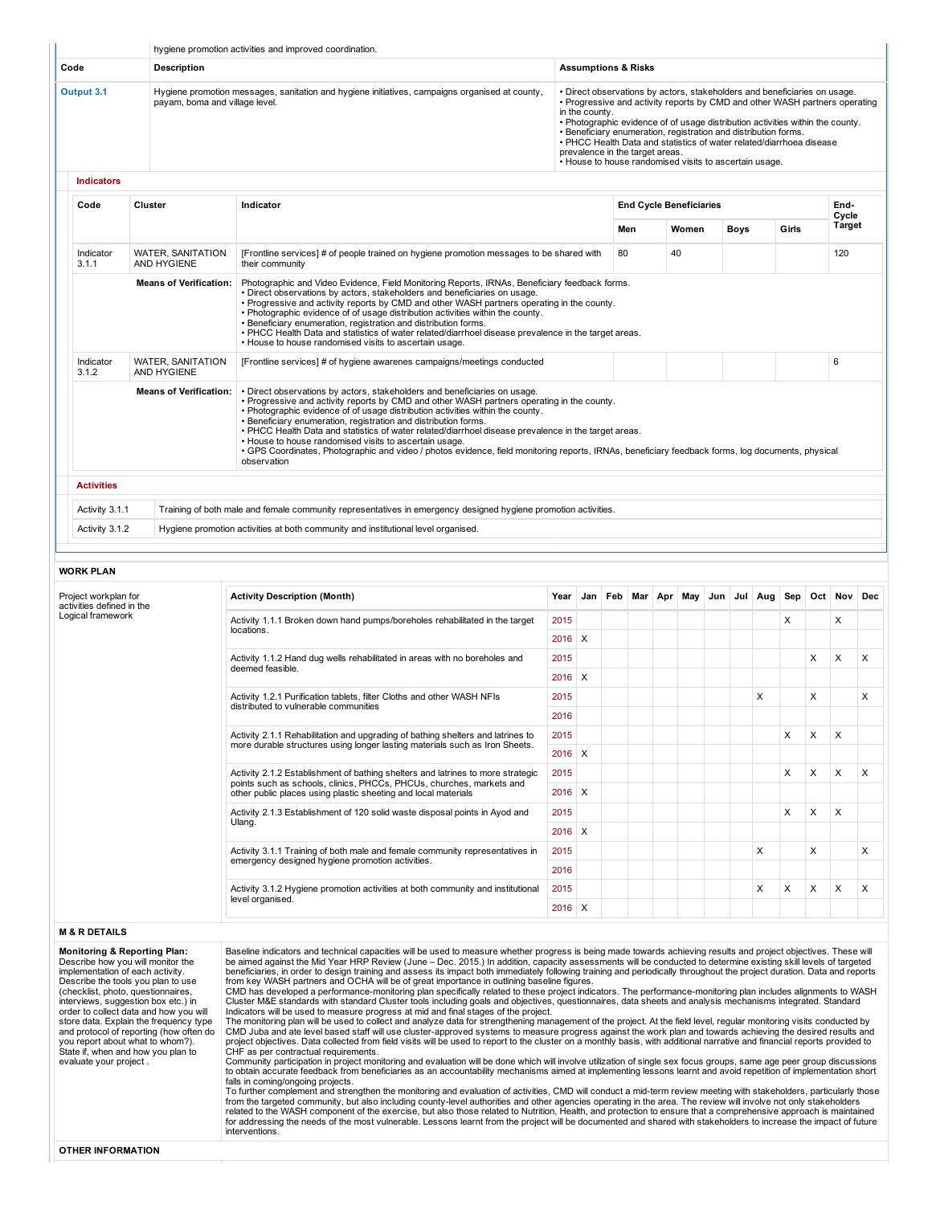|                                                |                                              | hygiene promotion activities and improved coordination.                                                                                                                                                                                                                                                                                                                                                                                                                                                                                                                                                            |                  |                                |     |                                 |                                                                                                                                                                                                                                                                                                                                                                                                                                                                                                                                                                    |  |  |  |   |                                |     |
|------------------------------------------------|----------------------------------------------|--------------------------------------------------------------------------------------------------------------------------------------------------------------------------------------------------------------------------------------------------------------------------------------------------------------------------------------------------------------------------------------------------------------------------------------------------------------------------------------------------------------------------------------------------------------------------------------------------------------------|------------------|--------------------------------|-----|---------------------------------|--------------------------------------------------------------------------------------------------------------------------------------------------------------------------------------------------------------------------------------------------------------------------------------------------------------------------------------------------------------------------------------------------------------------------------------------------------------------------------------------------------------------------------------------------------------------|--|--|--|---|--------------------------------|-----|
| Code                                           | <b>Description</b>                           |                                                                                                                                                                                                                                                                                                                                                                                                                                                                                                                                                                                                                    |                  | <b>Assumptions &amp; Risks</b> |     |                                 |                                                                                                                                                                                                                                                                                                                                                                                                                                                                                                                                                                    |  |  |  |   |                                |     |
| Output 3.1                                     | payam, boma and village level.               | Hygiene promotion messages, sanitation and hygiene initiatives, campaigns organised at county,                                                                                                                                                                                                                                                                                                                                                                                                                                                                                                                     |                  | in the county.                 |     | prevalence in the target areas. | • Direct observations by actors, stakeholders and beneficiaries on usage.<br>• Progressive and activity reports by CMD and other WASH partners operating<br>. Photographic evidence of of usage distribution activities within the county.<br>. Beneficiary enumeration, registration and distribution forms.<br>• PHCC Health Data and statistics of water related/diarrhoea disease<br>. House to house randomised visits to ascertain usage.<br><b>End Cycle Beneficiaries</b><br>Women<br><b>Boys</b><br>Girls<br>40<br>Sep<br>May<br>Jun<br>Jul Aug<br>X<br>X |  |  |  |   |                                |     |
| <b>Indicators</b>                              |                                              |                                                                                                                                                                                                                                                                                                                                                                                                                                                                                                                                                                                                                    |                  |                                |     |                                 |                                                                                                                                                                                                                                                                                                                                                                                                                                                                                                                                                                    |  |  |  |   |                                |     |
| Code                                           | Cluster                                      | Indicator                                                                                                                                                                                                                                                                                                                                                                                                                                                                                                                                                                                                          |                  |                                | Men |                                 |                                                                                                                                                                                                                                                                                                                                                                                                                                                                                                                                                                    |  |  |  |   | End-<br>Cycle<br><b>Target</b> |     |
| Indicator                                      | <b>WATER, SANITATION</b>                     | [Frontline services] # of people trained on hygiene promotion messages to be shared with                                                                                                                                                                                                                                                                                                                                                                                                                                                                                                                           |                  |                                | 80  |                                 |                                                                                                                                                                                                                                                                                                                                                                                                                                                                                                                                                                    |  |  |  |   | 120                            |     |
| 3.1.1                                          | AND HYGIENE<br><b>Means of Verification:</b> | their community<br>Photographic and Video Evidence, Field Monitoring Reports, IRNAs, Beneficiary feedback forms.<br>· Direct observations by actors, stakeholders and beneficiaries on usage.<br>. Progressive and activity reports by CMD and other WASH partners operating in the county.<br>. Photographic evidence of of usage distribution activities within the county.<br>· Beneficiary enumeration, registration and distribution forms.<br>. PHCC Health Data and statistics of water related/diarrhoel disease prevalence in the target areas.<br>. House to house randomised visits to ascertain usage. |                  |                                |     |                                 |                                                                                                                                                                                                                                                                                                                                                                                                                                                                                                                                                                    |  |  |  |   |                                |     |
| Indicator<br>3.1.2                             | <b>WATER, SANITATION</b><br>AND HYGIENE      | [Frontline services] # of hygiene awarenes campaigns/meetings conducted                                                                                                                                                                                                                                                                                                                                                                                                                                                                                                                                            |                  |                                |     |                                 |                                                                                                                                                                                                                                                                                                                                                                                                                                                                                                                                                                    |  |  |  |   | 6                              |     |
|                                                | <b>Means of Verification:</b>                | . Direct observations by actors, stakeholders and beneficiaries on usage.<br>. Progressive and activity reports by CMD and other WASH partners operating in the county.<br>. Photographic evidence of of usage distribution activities within the county.<br>. Beneficiary enumeration, registration and distribution forms.                                                                                                                                                                                                                                                                                       |                  |                                |     |                                 |                                                                                                                                                                                                                                                                                                                                                                                                                                                                                                                                                                    |  |  |  |   |                                |     |
|                                                |                                              | . PHCC Health Data and statistics of water related/diarrhoel disease prevalence in the target areas.<br>. House to house randomised visits to ascertain usage.<br>· GPS Coordinates. Photographic and video / photos evidence, field monitoring reports, IRNAs, beneficiary feedback forms, log documents, physical<br>observation                                                                                                                                                                                                                                                                                 |                  |                                |     |                                 | Х<br>X<br>X<br>х<br>Х<br>х                                                                                                                                                                                                                                                                                                                                                                                                                                                                                                                                         |  |  |  |   |                                |     |
| <b>Activities</b>                              |                                              |                                                                                                                                                                                                                                                                                                                                                                                                                                                                                                                                                                                                                    |                  |                                |     |                                 |                                                                                                                                                                                                                                                                                                                                                                                                                                                                                                                                                                    |  |  |  |   |                                |     |
| Activity 3.1.1                                 |                                              | Training of both male and female community representatives in emergency designed hygiene promotion activities.                                                                                                                                                                                                                                                                                                                                                                                                                                                                                                     |                  |                                |     |                                 |                                                                                                                                                                                                                                                                                                                                                                                                                                                                                                                                                                    |  |  |  |   |                                |     |
| Activity 3.1.2                                 |                                              | Hygiene promotion activities at both community and institutional level organised.                                                                                                                                                                                                                                                                                                                                                                                                                                                                                                                                  |                  |                                |     |                                 |                                                                                                                                                                                                                                                                                                                                                                                                                                                                                                                                                                    |  |  |  |   |                                |     |
| <b>WORK PLAN</b>                               |                                              |                                                                                                                                                                                                                                                                                                                                                                                                                                                                                                                                                                                                                    |                  |                                |     |                                 |                                                                                                                                                                                                                                                                                                                                                                                                                                                                                                                                                                    |  |  |  |   |                                |     |
| Project workplan for                           |                                              | <b>Activity Description (Month)</b>                                                                                                                                                                                                                                                                                                                                                                                                                                                                                                                                                                                | Year             | Jan   Feb   Mar   Apr          |     |                                 |                                                                                                                                                                                                                                                                                                                                                                                                                                                                                                                                                                    |  |  |  |   | Oct Nov                        | Dec |
| activities defined in the<br>Logical framework |                                              | Activity 1.1.1 Broken down hand pumps/boreholes rehabilitated in the target<br>locations.                                                                                                                                                                                                                                                                                                                                                                                                                                                                                                                          | 2015             |                                |     |                                 |                                                                                                                                                                                                                                                                                                                                                                                                                                                                                                                                                                    |  |  |  |   | X                              |     |
|                                                |                                              |                                                                                                                                                                                                                                                                                                                                                                                                                                                                                                                                                                                                                    | $2016$ X         |                                |     |                                 |                                                                                                                                                                                                                                                                                                                                                                                                                                                                                                                                                                    |  |  |  |   |                                |     |
|                                                |                                              | Activity 1.1.2 Hand dug wells rehabilitated in areas with no boreholes and<br>deemed feasible.                                                                                                                                                                                                                                                                                                                                                                                                                                                                                                                     | 2015<br>$2016$ X |                                |     |                                 |                                                                                                                                                                                                                                                                                                                                                                                                                                                                                                                                                                    |  |  |  | X | X                              |     |
|                                                |                                              | Activity 1.2.1 Purification tablets, filter Cloths and other WASH NFIs                                                                                                                                                                                                                                                                                                                                                                                                                                                                                                                                             | 2015             |                                |     |                                 |                                                                                                                                                                                                                                                                                                                                                                                                                                                                                                                                                                    |  |  |  | X |                                |     |
|                                                |                                              | distributed to vulnerable communities                                                                                                                                                                                                                                                                                                                                                                                                                                                                                                                                                                              | 2016             |                                |     |                                 |                                                                                                                                                                                                                                                                                                                                                                                                                                                                                                                                                                    |  |  |  |   |                                |     |
|                                                |                                              | Activity 2.1.1 Rehabilitation and upgrading of bathing shelters and latrines to                                                                                                                                                                                                                                                                                                                                                                                                                                                                                                                                    | 2015             |                                |     |                                 |                                                                                                                                                                                                                                                                                                                                                                                                                                                                                                                                                                    |  |  |  | X | X                              |     |
|                                                |                                              | more durable structures using longer lasting materials such as Iron Sheets.                                                                                                                                                                                                                                                                                                                                                                                                                                                                                                                                        | $2016$ X         |                                |     |                                 |                                                                                                                                                                                                                                                                                                                                                                                                                                                                                                                                                                    |  |  |  |   |                                |     |
|                                                |                                              | Activity 2.1.2 Establishment of bathing shelters and latrines to more strategic                                                                                                                                                                                                                                                                                                                                                                                                                                                                                                                                    | 2015             |                                |     |                                 |                                                                                                                                                                                                                                                                                                                                                                                                                                                                                                                                                                    |  |  |  | X | X                              |     |
|                                                |                                              | points such as schools, clinics, PHCCs, PHCUs, churches, markets and<br>other public places using plastic sheeting and local materials                                                                                                                                                                                                                                                                                                                                                                                                                                                                             | 2016             | X                              |     |                                 |                                                                                                                                                                                                                                                                                                                                                                                                                                                                                                                                                                    |  |  |  |   |                                |     |
|                                                |                                              | Activity 2.1.3 Establishment of 120 solid waste disposal points in Ayod and                                                                                                                                                                                                                                                                                                                                                                                                                                                                                                                                        | 2015             |                                |     |                                 |                                                                                                                                                                                                                                                                                                                                                                                                                                                                                                                                                                    |  |  |  | X | X                              |     |
|                                                |                                              | Ulang.                                                                                                                                                                                                                                                                                                                                                                                                                                                                                                                                                                                                             | $2016$ X         |                                |     |                                 |                                                                                                                                                                                                                                                                                                                                                                                                                                                                                                                                                                    |  |  |  |   |                                |     |
|                                                |                                              | Activity 3.1.1 Training of both male and female community representatives in                                                                                                                                                                                                                                                                                                                                                                                                                                                                                                                                       | 2015             |                                |     |                                 |                                                                                                                                                                                                                                                                                                                                                                                                                                                                                                                                                                    |  |  |  | X |                                |     |
|                                                |                                              | emergency designed hygiene promotion activities.                                                                                                                                                                                                                                                                                                                                                                                                                                                                                                                                                                   | 2016             |                                |     |                                 |                                                                                                                                                                                                                                                                                                                                                                                                                                                                                                                                                                    |  |  |  |   |                                |     |
|                                                |                                              | Activity 3.1.2 Hygiene promotion activities at both community and institutional<br>level organised.                                                                                                                                                                                                                                                                                                                                                                                                                                                                                                                | 2015             |                                |     |                                 |                                                                                                                                                                                                                                                                                                                                                                                                                                                                                                                                                                    |  |  |  | X | X                              |     |

The monitoring plan will be used to collect and analyze data for strengthening management of the project. At the field level, regular monitoring visits conducted by<br>CMD Juba and ate level based staff will use cluster-appro

falls in coming/ongoing projects.<br>To further complement and strengthen the monitoring and evaluation of activities, CMD will conduct a mid-term review meeting with stakeholders, particularly those<br>from the targeted communi

evaluate your project .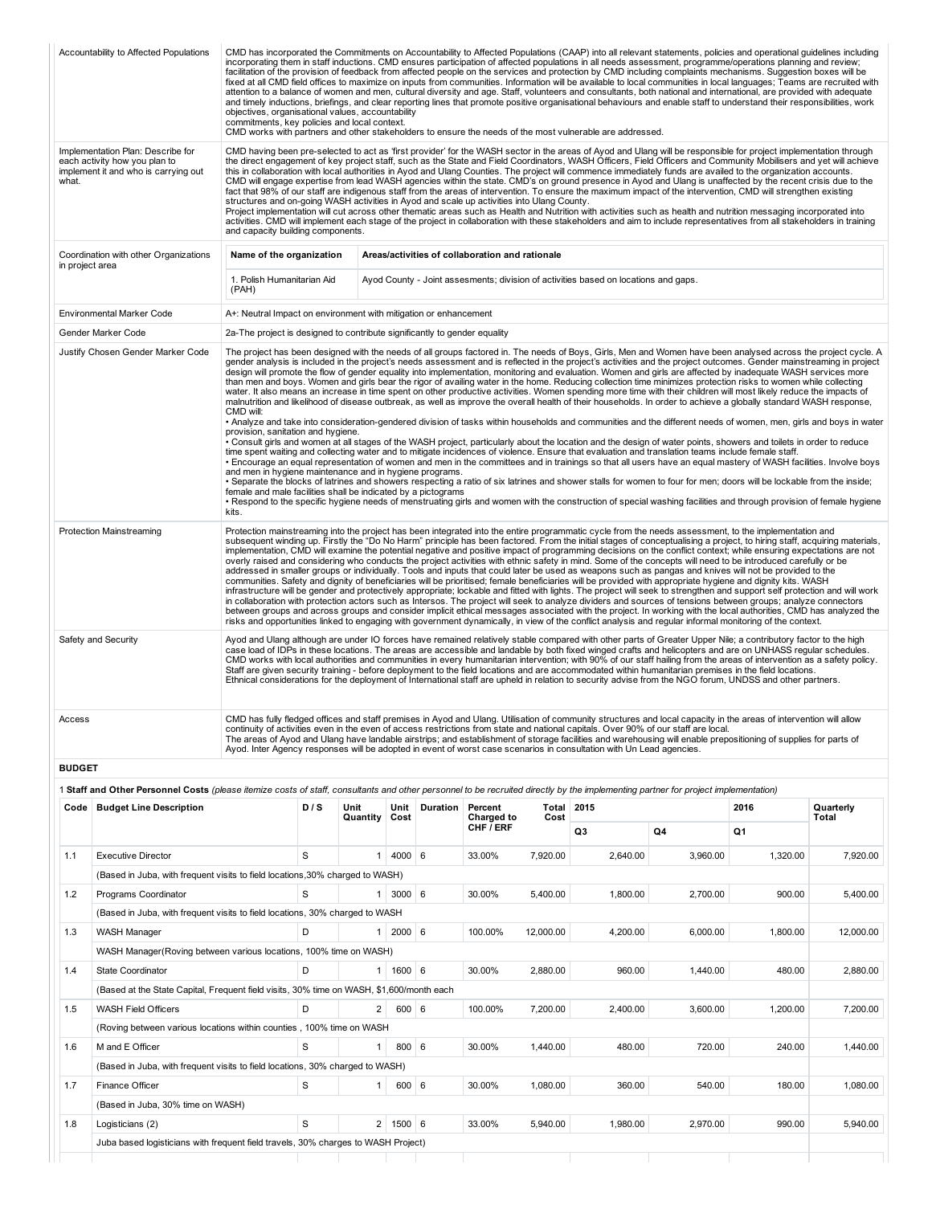|                 | Accountability to Affected Populations                                                                     | objectives, organisational values, accountability<br>commitments, key policies and local context.                                                                                    |     |                       |                       |                                                 |               | CMD has incorporated the Commitments on Accountability to Affected Populations (CAAP) into all relevant statements, policies and operational guidelines including<br>incorporating them in staff inductions. CMD ensures participation of affected populations in all needs assessment, programme/operations planning and review;<br>facilitation of the provision of feedback from affected people on the services and protection by CMD including complaints mechanisms. Suggestion boxes will be<br>fixed at all CMD field offices to maximize on inputs from communities. Information will be available to local communities in local languages; Teams are recruited with<br>attention to a balance of women and men, cultural diversity and age. Staff, volunteers and consultants, both national and international, are provided with adequate<br>and timely inductions, briefings, and clear reporting lines that promote positive organisational behaviours and enable staff to understand their responsibilities, work<br>CMD works with partners and other stakeholders to ensure the needs of the most vulnerable are addressed.                                                                                                                                                                                                                                                                                                                                                                                                                                                                                                                                                                                                                                                                                                                                                                                                                                                                                                 |      |                    |
|-----------------|------------------------------------------------------------------------------------------------------------|--------------------------------------------------------------------------------------------------------------------------------------------------------------------------------------|-----|-----------------------|-----------------------|-------------------------------------------------|---------------|---------------------------------------------------------------------------------------------------------------------------------------------------------------------------------------------------------------------------------------------------------------------------------------------------------------------------------------------------------------------------------------------------------------------------------------------------------------------------------------------------------------------------------------------------------------------------------------------------------------------------------------------------------------------------------------------------------------------------------------------------------------------------------------------------------------------------------------------------------------------------------------------------------------------------------------------------------------------------------------------------------------------------------------------------------------------------------------------------------------------------------------------------------------------------------------------------------------------------------------------------------------------------------------------------------------------------------------------------------------------------------------------------------------------------------------------------------------------------------------------------------------------------------------------------------------------------------------------------------------------------------------------------------------------------------------------------------------------------------------------------------------------------------------------------------------------------------------------------------------------------------------------------------------------------------------------------------------------------------------------------------------------------------------------|------|--------------------|
| what.           | Implementation Plan: Describe for<br>each activity how you plan to<br>implement it and who is carrying out | structures and on-going WASH activities in Ayod and scale up activities into Ulang County.<br>and capacity building components.                                                      |     |                       |                       |                                                 |               | CMD having been pre-selected to act as 'first provider' for the WASH sector in the areas of Ayod and Ulang will be responsible for project implementation through<br>the direct engagement of key project staff, such as the State and Field Coordinators, WASH Officers, Field Officers and Community Mobilisers and yet will achieve<br>this in collaboration with local authorities in Ayod and Ulang Counties. The project will commence immediately funds are availed to the organization accounts.<br>CMD will engage expertise from lead WASH agencies within the state. CMD's on ground presence in Ayod and Ulang is unaffected by the recent crisis due to the<br>fact that 98% of our staff are indigenous staff from the areas of intervention. To ensure the maximum impact of the intervention, CMD will strengthen existing<br>Project implementation will cut across other thematic areas such as Health and Nutrition with activities such as health and nutrition messaging incorporated into<br>activities. CMD will implement each stage of the project in collaboration with these stakeholders and aim to include representatives from all stakeholders in training                                                                                                                                                                                                                                                                                                                                                                                                                                                                                                                                                                                                                                                                                                                                                                                                                                                   |      |                    |
| in project area | Coordination with other Organizations                                                                      | Name of the organization                                                                                                                                                             |     |                       |                       | Areas/activities of collaboration and rationale |               |                                                                                                                                                                                                                                                                                                                                                                                                                                                                                                                                                                                                                                                                                                                                                                                                                                                                                                                                                                                                                                                                                                                                                                                                                                                                                                                                                                                                                                                                                                                                                                                                                                                                                                                                                                                                                                                                                                                                                                                                                                             |      |                    |
|                 |                                                                                                            | 1. Polish Humanitarian Aid<br>(PAH)                                                                                                                                                  |     |                       |                       |                                                 |               | Ayod County - Joint assesments; division of activities based on locations and gaps.                                                                                                                                                                                                                                                                                                                                                                                                                                                                                                                                                                                                                                                                                                                                                                                                                                                                                                                                                                                                                                                                                                                                                                                                                                                                                                                                                                                                                                                                                                                                                                                                                                                                                                                                                                                                                                                                                                                                                         |      |                    |
|                 | Environmental Marker Code                                                                                  | A+: Neutral Impact on environment with mitigation or enhancement                                                                                                                     |     |                       |                       |                                                 |               |                                                                                                                                                                                                                                                                                                                                                                                                                                                                                                                                                                                                                                                                                                                                                                                                                                                                                                                                                                                                                                                                                                                                                                                                                                                                                                                                                                                                                                                                                                                                                                                                                                                                                                                                                                                                                                                                                                                                                                                                                                             |      |                    |
|                 | Gender Marker Code                                                                                         | 2a-The project is designed to contribute significantly to gender equality                                                                                                            |     |                       |                       |                                                 |               |                                                                                                                                                                                                                                                                                                                                                                                                                                                                                                                                                                                                                                                                                                                                                                                                                                                                                                                                                                                                                                                                                                                                                                                                                                                                                                                                                                                                                                                                                                                                                                                                                                                                                                                                                                                                                                                                                                                                                                                                                                             |      |                    |
|                 | Justify Chosen Gender Marker Code                                                                          | CMD will:<br>provision, sanitation and hygiene.<br>and men in hygiene maintenance and in hygiene programs.<br>female and male facilities shall be indicated by a pictograms<br>kits. |     |                       |                       |                                                 |               | The project has been designed with the needs of all groups factored in. The needs of Boys, Girls, Men and Women have been analysed across the project cycle. A<br>gender analysis is included in the project's needs assessment and is reflected in the project's activities and the project outcomes. Gender mainstreaming in project<br>design will promote the flow of gender equality into implementation, monitoring and evaluation. Women and girls are affected by inadequate WASH services more<br>than men and boys. Women and girls bear the rigor of availing water in the home. Reducing collection time minimizes protection risks to women while collecting<br>water. It also means an increase in time spent on other productive activities. Women spending more time with their children will most likely reduce the impacts of<br>malnutrition and likelihood of disease outbreak, as well as improve the overall health of their households. In order to achieve a globally standard WASH response,<br>• Analyze and take into consideration-gendered division of tasks within households and communities and the different needs of women, men, girls and boys in water<br>. Consult girls and women at all stages of the WASH project, particularly about the location and the design of water points, showers and toilets in order to reduce<br>time spent waiting and collecting water and to mitigate incidences of violence. Ensure that evaluation and translation teams include female staff.<br>· Encourage an equal representation of women and men in the committees and in trainings so that all users have an equal mastery of WASH facilities. Involve boys<br>• Separate the blocks of latrines and showers respecting a ratio of six latrines and shower stalls for women to four for men; doors will be lockable from the inside;<br>• Respond to the specific hygiene needs of menstruating girls and women with the construction of special washing facilities and through provision of female hygiene |      |                    |
|                 | <b>Protection Mainstreaming</b>                                                                            |                                                                                                                                                                                      |     |                       |                       |                                                 |               | Protection mainstreaming into the project has been integrated into the entire programmatic cycle from the needs assessment, to the implementation and<br>subsequent winding up. Firstly the "Do No Harm" principle has been factored. From the initial stages of conceptualising a project, to hiring staff, acquiring materials,<br>implementation, CMD will examine the potential negative and positive impact of programming decisions on the conflict context; while ensuring expectations are not<br>overly raised and considering who conducts the project activities with ethnic safety in mind. Some of the concepts will need to be introduced carefully or be<br>addressed in smaller groups or individually. Tools and inputs that could later be used as weapons such as pangas and knives will not be provided to the<br>communities. Safety and dignity of beneficiaries will be prioritised; female beneficiaries will be provided with appropriate hygiene and dignity kits. WASH<br>infrastructure will be gender and protectively appropriate; lockable and fitted with lights. The project will seek to strengthen and support self protection and will work<br>in collaboration with protection actors such as Intersos. The project will seek to analyze dividers and sources of tensions between groups; analyze connectors<br>between groups and across groups and consider implicit ethical messages associated with the project. In working with the local authorities, CMD has analyzed the<br>risks and opportunities linked to engaging with government dynamically, in view of the conflict analysis and regular informal monitoring of the context.                                                                                                                                                                                                                                                                                                                                                           |      |                    |
|                 | Safety and Security                                                                                        |                                                                                                                                                                                      |     |                       |                       |                                                 |               | Ayod and Ulang although are under IO forces have remained relatively stable compared with other parts of Greater Upper Nile; a contributory factor to the high<br>case load of IDPs in these locations. The areas are accessible and landable by both fixed winged crafts and helicopters and are on UNHASS regular schedules.<br>CMD works with local authorities and communities in every humanitarian intervention; with 90% of our staff hailing from the areas of intervention as a safety policy.<br>Staff are given security training - before deployment to the field locations and are accommodated within humanitarian premises in the field locations.<br>Ethnical considerations for the deployment of International staff are upheld in relation to security advise from the NGO forum, UNDSS and other partners.                                                                                                                                                                                                                                                                                                                                                                                                                                                                                                                                                                                                                                                                                                                                                                                                                                                                                                                                                                                                                                                                                                                                                                                                              |      |                    |
| Access          |                                                                                                            |                                                                                                                                                                                      |     |                       |                       |                                                 |               | CMD has fully fledged offices and staff premises in Ayod and Ulang. Utilisation of community structures and local capacity in the areas of intervention will allow<br>continuity of activities even in the even of access restrictions from state and national capitals. Over 90% of our staff are local.<br>The areas of Ayod and Ulang have landable airstrips; and establishment of storage facilities and warehousing will enable prepositioning of supplies for parts of<br>Ayod. Inter Agency responses will be adopted in event of worst case scenarios in consultation with Un Lead agencies.                                                                                                                                                                                                                                                                                                                                                                                                                                                                                                                                                                                                                                                                                                                                                                                                                                                                                                                                                                                                                                                                                                                                                                                                                                                                                                                                                                                                                                       |      |                    |
| <b>BUDGET</b>   |                                                                                                            |                                                                                                                                                                                      |     |                       |                       |                                                 |               |                                                                                                                                                                                                                                                                                                                                                                                                                                                                                                                                                                                                                                                                                                                                                                                                                                                                                                                                                                                                                                                                                                                                                                                                                                                                                                                                                                                                                                                                                                                                                                                                                                                                                                                                                                                                                                                                                                                                                                                                                                             |      |                    |
|                 |                                                                                                            |                                                                                                                                                                                      |     |                       |                       |                                                 |               | 1 Staff and Other Personnel Costs (please itemize costs of staff, consultants and other personnel to be recruited directly by the implementing partner for project implementation)                                                                                                                                                                                                                                                                                                                                                                                                                                                                                                                                                                                                                                                                                                                                                                                                                                                                                                                                                                                                                                                                                                                                                                                                                                                                                                                                                                                                                                                                                                                                                                                                                                                                                                                                                                                                                                                          |      |                    |
|                 | Code   Budget Line Description                                                                             |                                                                                                                                                                                      | D/S | Unit<br>Quantity Cost | Unit Duration Percent | Charged to                                      | Total<br>Cost | 2015                                                                                                                                                                                                                                                                                                                                                                                                                                                                                                                                                                                                                                                                                                                                                                                                                                                                                                                                                                                                                                                                                                                                                                                                                                                                                                                                                                                                                                                                                                                                                                                                                                                                                                                                                                                                                                                                                                                                                                                                                                        | 2016 | Quarterly<br>Total |
|                 |                                                                                                            |                                                                                                                                                                                      |     |                       |                       | CUE TEDE                                        |               |                                                                                                                                                                                                                                                                                                                                                                                                                                                                                                                                                                                                                                                                                                                                                                                                                                                                                                                                                                                                                                                                                                                                                                                                                                                                                                                                                                                                                                                                                                                                                                                                                                                                                                                                                                                                                                                                                                                                                                                                                                             |      |                    |

| Code | <b>Budget Line Description</b>                                                           | D/S | Unit<br>Quantity | Unit<br>Cost | <b>Duration</b> | Percent<br>Charged to | Total<br>Cost | 2015     |                | 2016<br>Quarterly<br><b>Total</b> |           |
|------|------------------------------------------------------------------------------------------|-----|------------------|--------------|-----------------|-----------------------|---------------|----------|----------------|-----------------------------------|-----------|
|      |                                                                                          |     |                  |              |                 | CHF / ERF             |               | Q3       | Q <sub>4</sub> | Q1                                |           |
| 1.1  | <b>Executive Director</b>                                                                | S   |                  | $4000 \ 6$   |                 | 33.00%                | 7.920.00      | 2,640.00 | 3.960.00       | 1.320.00                          | 7,920.00  |
|      | (Based in Juba, with frequent visits to field locations, 30% charged to WASH)            |     |                  |              |                 |                       |               |          |                |                                   |           |
| 1.2  | Programs Coordinator                                                                     | S   |                  | $3000 \ 6$   |                 | 30.00%                | 5,400.00      | 1,800.00 | 2,700.00       | 900.00                            | 5,400.00  |
|      | (Based in Juba, with frequent visits to field locations, 30% charged to WASH             |     |                  |              |                 |                       |               |          |                |                                   |           |
| 1.3  | <b>WASH Manager</b>                                                                      | D   | 1                | $2000 \ 6$   |                 | 100.00%               | 12,000.00     | 4,200.00 | 6,000.00       | 1,800.00                          | 12,000.00 |
|      | WASH Manager (Roving between various locations, 100% time on WASH)                       |     |                  |              |                 |                       |               |          |                |                                   |           |
| 1.4  | <b>State Coordinator</b>                                                                 | D   | 1 <sup>1</sup>   | $1600 \ 6$   |                 | 30.00%                | 2.880.00      | 960.00   | 1.440.00       | 480.00                            | 2,880.00  |
|      | (Based at the State Capital, Frequent field visits, 30% time on WASH, \$1,600/month each |     |                  |              |                 |                       |               |          |                |                                   |           |
| 1.5  | <b>WASH Field Officers</b>                                                               | D   | 2 <sup>1</sup>   | 600   6      |                 | 100.00%               | 7,200.00      | 2,400.00 | 3,600.00       | 1,200.00                          | 7,200.00  |
|      | (Roving between various locations within counties, 100% time on WASH                     |     |                  |              |                 |                       |               |          |                |                                   |           |
| 1.6  | M and E Officer                                                                          | S   | 1                | 800          | 6               | 30.00%                | 1.440.00      | 480.00   | 720.00         | 240.00                            | 1.440.00  |
|      | (Based in Juba, with frequent visits to field locations, 30% charged to WASH)            |     |                  |              |                 |                       |               |          |                |                                   |           |
| 1.7  | Finance Officer                                                                          | S   | $\mathbf{1}$     | 600   6      |                 | 30.00%                | 1,080.00      | 360.00   | 540.00         | 180.00                            | 1,080.00  |
|      | (Based in Juba, 30% time on WASH)                                                        |     |                  |              |                 |                       |               |          |                |                                   |           |
| 1.8  | Logisticians (2)                                                                         | S   |                  | 2   1500   6 |                 | 33.00%                | 5.940.00      | 1.980.00 | 2.970.00       | 990.00                            | 5.940.00  |
|      | Juba based logisticians with frequent field travels, 30% charges to WASH Project)        |     |                  |              |                 |                       |               |          |                |                                   |           |
|      |                                                                                          |     |                  |              |                 |                       |               |          |                |                                   |           |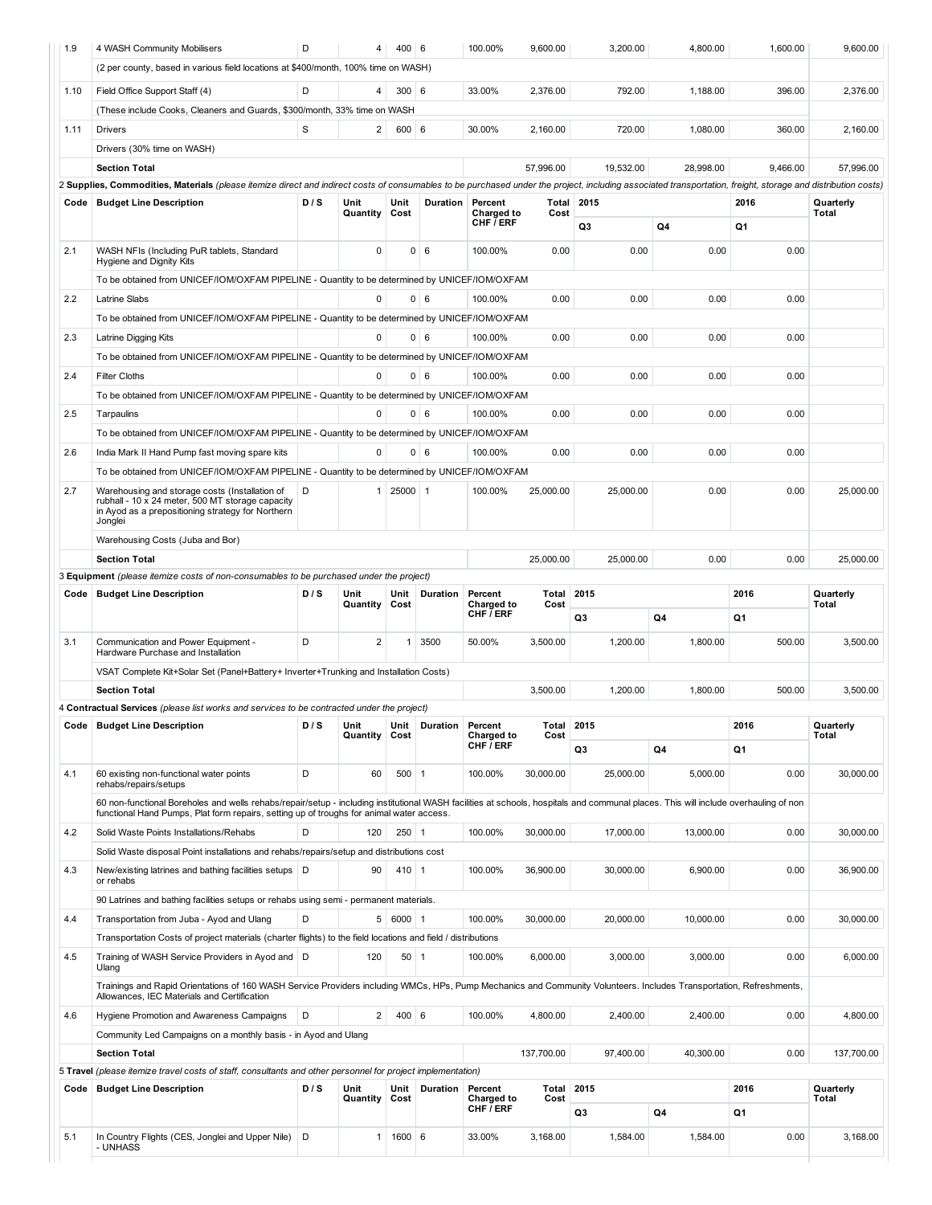| 1.9  | 4 WASH Community Mobilisers                                                                                                                                                                                        | D   | 4                | 400 6          |                           | 100.00%                         | 9,600.00          | 3,200.00   | 4,800.00  | 1,600.00 | 9,600.00                  |
|------|--------------------------------------------------------------------------------------------------------------------------------------------------------------------------------------------------------------------|-----|------------------|----------------|---------------------------|---------------------------------|-------------------|------------|-----------|----------|---------------------------|
|      | (2 per county, based in various field locations at \$400/month, 100% time on WASH)                                                                                                                                 |     |                  |                |                           |                                 |                   |            |           |          |                           |
| 1.10 |                                                                                                                                                                                                                    | D   | 4                | $300$ 6        |                           | 33.00%                          | 2,376.00          | 792.00     | 1,188.00  | 396.00   | 2,376.00                  |
|      | Field Office Support Staff (4)                                                                                                                                                                                     |     |                  |                |                           |                                 |                   |            |           |          |                           |
|      | (These include Cooks, Cleaners and Guards, \$300/month, 33% time on WASH                                                                                                                                           |     |                  |                |                           |                                 |                   |            |           |          |                           |
| 1.11 | <b>Drivers</b>                                                                                                                                                                                                     | S   | 2                | 600   6        |                           | 30.00%                          | 2,160.00          | 720.00     | 1,080.00  | 360.00   | 2,160.00                  |
|      | Drivers (30% time on WASH)                                                                                                                                                                                         |     |                  |                |                           |                                 |                   |            |           |          |                           |
|      | <b>Section Total</b>                                                                                                                                                                                               |     |                  |                |                           |                                 | 57,996.00         | 19,532.00  | 28,998.00 | 9,466.00 | 57,996.00                 |
|      | 2 Supplies, Commodities, Materials (please itemize direct and indirect costs of consumables to be purchased under the project, including associated transportation, freight, storage and distribution costs)       |     |                  |                |                           |                                 |                   |            |           |          |                           |
| Code | <b>Budget Line Description</b>                                                                                                                                                                                     | D/S | Unit<br>Quantity | Unit<br>Cost   | Duration                  | Percent<br>Charged to           | Cost              | Total 2015 |           | 2016     | Quarterly<br><b>Total</b> |
|      |                                                                                                                                                                                                                    |     |                  |                |                           | CHF / ERF                       |                   | Q3         | Q4        | Q1       |                           |
| 2.1  |                                                                                                                                                                                                                    |     | 0                | $\overline{0}$ | 6                         | 100.00%                         | 0.00              | 0.00       | 0.00      | 0.00     |                           |
|      | WASH NFIs (Including PuR tablets, Standard<br>Hygiene and Dignity Kits                                                                                                                                             |     |                  |                |                           |                                 |                   |            |           |          |                           |
|      | To be obtained from UNICEF/IOM/OXFAM PIPELINE - Quantity to be determined by UNICEF/IOM/OXFAM                                                                                                                      |     |                  |                |                           |                                 |                   |            |           |          |                           |
| 2.2  | Latrine Slabs                                                                                                                                                                                                      |     | $\Omega$         |                | $0 \mid 6$                | 100.00%                         | 0.00              | 0.00       | 0.00      | 0.00     |                           |
|      | To be obtained from UNICEF/IOM/OXFAM PIPELINE - Quantity to be determined by UNICEF/IOM/OXFAM                                                                                                                      |     |                  |                |                           |                                 |                   |            |           |          |                           |
| 2.3  | Latrine Digging Kits                                                                                                                                                                                               |     | 0                |                | $0 \mid 6$                | 100.00%                         | 0.00              | 0.00       | 0.00      | 0.00     |                           |
|      | To be obtained from UNICEF/IOM/OXFAM PIPELINE - Quantity to be determined by UNICEF/IOM/OXFAM                                                                                                                      |     |                  |                |                           |                                 |                   |            |           |          |                           |
| 2.4  | <b>Filter Cloths</b>                                                                                                                                                                                               |     | 0                |                | $0 \mid 6$                | 100.00%                         | 0.00              | 0.00       | 0.00      | 0.00     |                           |
|      |                                                                                                                                                                                                                    |     |                  |                |                           |                                 |                   |            |           |          |                           |
|      | To be obtained from UNICEF/IOM/OXFAM PIPELINE - Quantity to be determined by UNICEF/IOM/OXFAM                                                                                                                      |     |                  |                |                           |                                 |                   |            |           |          |                           |
| 2.5  | Tarpaulins                                                                                                                                                                                                         |     | 0                |                | $0 \mid 6$                | 100.00%                         | 0.00              | 0.00       | 0.00      | 0.00     |                           |
|      | To be obtained from UNICEF/IOM/OXFAM PIPELINE - Quantity to be determined by UNICEF/IOM/OXFAM                                                                                                                      |     |                  |                |                           |                                 |                   |            |           |          |                           |
| 2.6  | India Mark II Hand Pump fast moving spare kits                                                                                                                                                                     |     | 0                |                | $0 \mid 6$                | 100.00%                         | 0.00              | 0.00       | 0.00      | 0.00     |                           |
|      | To be obtained from UNICEF/IOM/OXFAM PIPELINE - Quantity to be determined by UNICEF/IOM/OXFAM                                                                                                                      |     |                  |                |                           |                                 |                   |            |           |          |                           |
| 2.7  | Warehousing and storage costs (Installation of                                                                                                                                                                     | D   | 1                | 25000 1        |                           | 100.00%                         | 25,000.00         | 25,000.00  | 0.00      | 0.00     | 25,000.00                 |
|      | rubhall - 10 x 24 meter, 500 MT storage capacity<br>in Ayod as a prepositioning strategy for Northern                                                                                                              |     |                  |                |                           |                                 |                   |            |           |          |                           |
|      | Jonglei                                                                                                                                                                                                            |     |                  |                |                           |                                 |                   |            |           |          |                           |
|      | Warehousing Costs (Juba and Bor)                                                                                                                                                                                   |     |                  |                |                           |                                 |                   |            |           |          |                           |
|      | <b>Section Total</b>                                                                                                                                                                                               |     |                  |                |                           |                                 | 25,000.00         | 25,000.00  | 0.00      | 0.00     | 25,000.00                 |
|      | 3 Equipment (please itemize costs of non-consumables to be purchased under the project)                                                                                                                            |     |                  |                |                           |                                 |                   |            |           |          |                           |
|      |                                                                                                                                                                                                                    |     |                  |                |                           |                                 |                   |            |           |          |                           |
| Code | <b>Budget Line Description</b>                                                                                                                                                                                     | D/S | Unit<br>Quantity | Unit<br>Cost   | Duration                  | Percent<br>Charged to           | Total<br>Cost     | 2015       |           | 2016     | Quarterly<br>Total        |
|      |                                                                                                                                                                                                                    |     |                  |                |                           | CHF / ERF                       |                   | Q3         | Q4        | Q1       |                           |
|      |                                                                                                                                                                                                                    |     |                  |                |                           |                                 |                   |            |           |          |                           |
| 3.1  | Communication and Power Equipment -<br>Hardware Purchase and Installation                                                                                                                                          | D   | 2                | 1 <sup>1</sup> | 3500                      | 50.00%                          | 3,500.00          | 1,200.00   | 1,800.00  | 500.00   | 3.500.00                  |
|      | VSAT Complete Kit+Solar Set (Panel+Battery+ Inverter+Trunking and Installation Costs)                                                                                                                              |     |                  |                |                           |                                 |                   |            |           |          |                           |
|      | <b>Section Total</b>                                                                                                                                                                                               |     |                  |                |                           |                                 | 3,500.00          | 1,200.00   | 1,800.00  | 500.00   | 3.500.00                  |
|      | 4 Contractual Services (please list works and services to be contracted under the project)                                                                                                                         |     |                  |                |                           |                                 |                   |            |           |          |                           |
|      | Code   Budget Line Description                                                                                                                                                                                     | D/S | Unit             |                | Unit   Duration   Percent |                                 | <b>Total 2015</b> |            |           | 2016     | Quarterly                 |
|      |                                                                                                                                                                                                                    |     | Quantity         | Cost           |                           | Charged to<br>CHF / ERF         | Cost              |            |           |          | Total                     |
|      |                                                                                                                                                                                                                    |     |                  |                |                           |                                 |                   | Q3         | Q4        | Q1       |                           |
| 4.1  | 60 existing non-functional water points<br>rehabs/repairs/setups                                                                                                                                                   | D   | 60               | $500$ 1        |                           | 100.00%                         | 30.000.00         | 25,000.00  | 5,000.00  | 0.00     | 30,000.00                 |
|      | 60 non-functional Boreholes and wells rehabs/repair/setup - including institutional WASH facilities at schools, hospitals and communal places. This will include overhauling of non                                |     |                  |                |                           |                                 |                   |            |           |          |                           |
|      | functional Hand Pumps, Plat form repairs, setting up of troughs for animal water access.                                                                                                                           |     |                  |                |                           |                                 |                   |            |           |          |                           |
| 4.2  | Solid Waste Points Installations/Rehabs                                                                                                                                                                            | D   | 120              | $250$ 1        |                           | 100.00%                         | 30,000.00         | 17,000.00  | 13,000.00 | 0.00     | 30,000.00                 |
|      | Solid Waste disposal Point installations and rehabs/repairs/setup and distributions cost                                                                                                                           |     |                  |                |                           |                                 |                   |            |           |          |                           |
| 4.3  | New/existing latrines and bathing facilities setups   D                                                                                                                                                            |     | 90               | $410$ 1        |                           | 100.00%                         | 36.900.00         | 30,000.00  | 6,900.00  | 0.00     | 36,900.00                 |
|      | or rehabs                                                                                                                                                                                                          |     |                  |                |                           |                                 |                   |            |           |          |                           |
|      | 90 Latrines and bathing facilities setups or rehabs using semi - permanent materials.                                                                                                                              |     |                  |                |                           |                                 |                   |            |           |          |                           |
| 4.4  | Transportation from Juba - Ayod and Ulang                                                                                                                                                                          | D   |                  | 5   6000   1   |                           | 100.00%                         | 30,000.00         | 20,000.00  | 10,000.00 | 0.00     | 30,000.00                 |
|      | Transportation Costs of project materials (charter flights) to the field locations and field / distributions                                                                                                       |     |                  |                |                           |                                 |                   |            |           |          |                           |
| 4.5  | Training of WASH Service Providers in Ayod and   D                                                                                                                                                                 |     | 120              | $50$ 1         |                           | 100.00%                         | 6,000.00          | 3,000.00   | 3,000.00  | 0.00     | 6,000.00                  |
|      | Ulang                                                                                                                                                                                                              |     |                  |                |                           |                                 |                   |            |           |          |                           |
|      | Trainings and Rapid Orientations of 160 WASH Service Providers including WMCs, HPs, Pump Mechanics and Community Volunteers. Includes Transportation, Refreshments,<br>Allowances, IEC Materials and Certification |     |                  |                |                           |                                 |                   |            |           |          |                           |
| 4.6  | Hygiene Promotion and Awareness Campaigns                                                                                                                                                                          | D   | $\overline{2}$   | 400   6        |                           | 100.00%                         | 4,800.00          | 2,400.00   | 2,400.00  | 0.00     | 4,800.00                  |
|      | Community Led Campaigns on a monthly basis - in Ayod and Ulang                                                                                                                                                     |     |                  |                |                           |                                 |                   |            |           |          |                           |
|      | <b>Section Total</b>                                                                                                                                                                                               |     |                  |                |                           |                                 | 137,700.00        | 97,400.00  | 40,300.00 | 0.00     | 137,700.00                |
|      | 5 Travel (please itemize travel costs of staff, consultants and other personnel for project implementation)                                                                                                        |     |                  |                |                           |                                 |                   |            |           |          |                           |
| Code | <b>Budget Line Description</b>                                                                                                                                                                                     | D/S | Unit             | Unit           | Duration                  | Percent                         | Total             | 2015       |           | 2016     | Quarterly                 |
|      |                                                                                                                                                                                                                    |     | Quantity         | Cost           |                           | Charged to<br>CHF $\bar{I}$ ERF | Cost              |            |           |          | Total                     |
|      |                                                                                                                                                                                                                    |     |                  |                |                           |                                 |                   | Q3         | Q4        | Q1       |                           |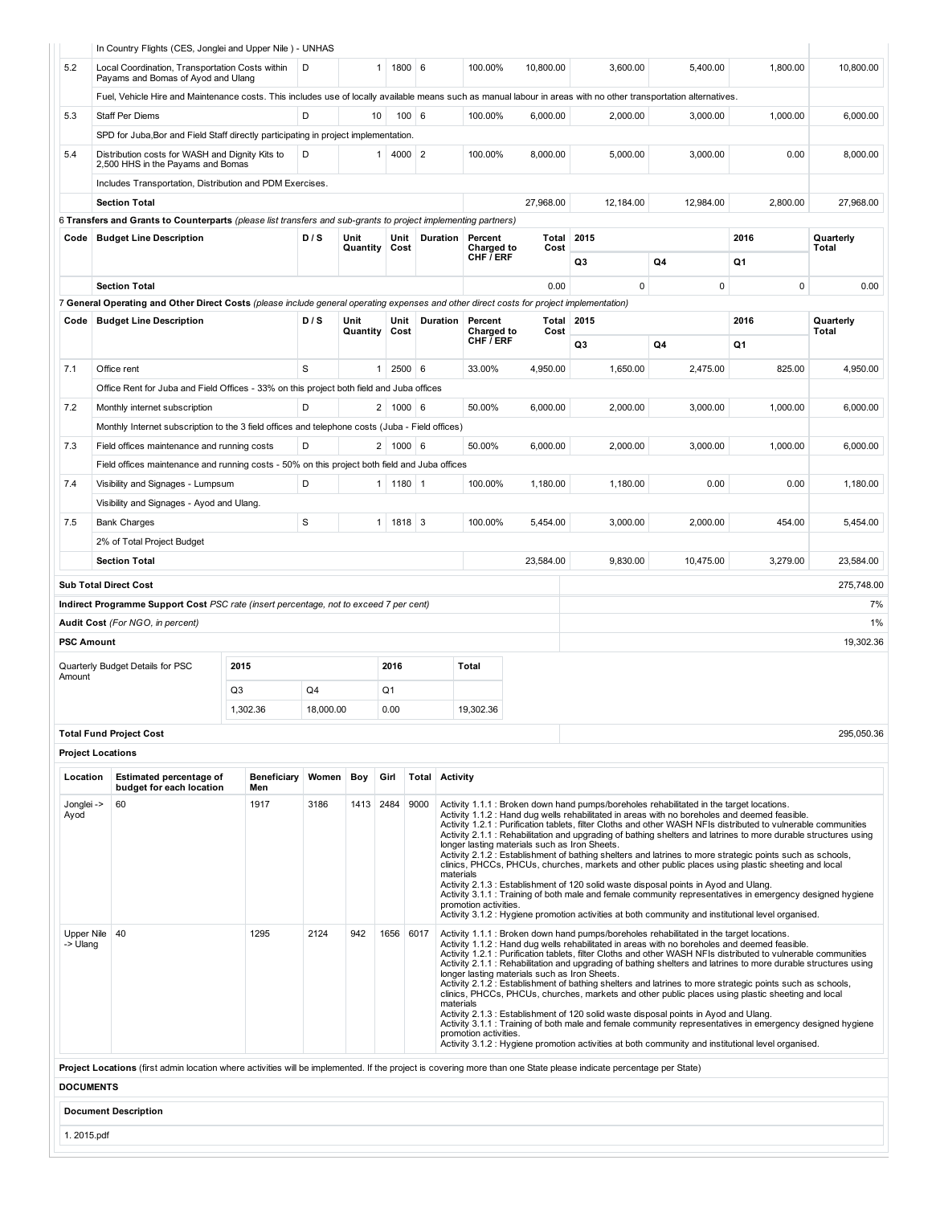|                        | In Country Flights (CES, Jonglei and Upper Nile) - UNHAS                                                                                                                 |                    |           |          |                                 |                       |                                    |                                               |                                                                                                                                                                                                                                                                                                                                                                                                                                                                                                                                                                                                                                                                                                                                                                                                                                                                                                                                                             |             |             |            |
|------------------------|--------------------------------------------------------------------------------------------------------------------------------------------------------------------------|--------------------|-----------|----------|---------------------------------|-----------------------|------------------------------------|-----------------------------------------------|-------------------------------------------------------------------------------------------------------------------------------------------------------------------------------------------------------------------------------------------------------------------------------------------------------------------------------------------------------------------------------------------------------------------------------------------------------------------------------------------------------------------------------------------------------------------------------------------------------------------------------------------------------------------------------------------------------------------------------------------------------------------------------------------------------------------------------------------------------------------------------------------------------------------------------------------------------------|-------------|-------------|------------|
| 5.2                    | Local Coordination, Transportation Costs within<br>Payams and Bomas of Ayod and Ulang                                                                                    |                    | D         |          | 1800 6<br>1 <sup>1</sup>        |                       | 100.00%                            | 10,800.00                                     | 3,600.00                                                                                                                                                                                                                                                                                                                                                                                                                                                                                                                                                                                                                                                                                                                                                                                                                                                                                                                                                    | 5,400.00    | 1,800.00    | 10,800.00  |
|                        | Fuel, Vehicle Hire and Maintenance costs. This includes use of locally available means such as manual labour in areas with no other transportation alternatives.         |                    |           |          |                                 |                       |                                    |                                               |                                                                                                                                                                                                                                                                                                                                                                                                                                                                                                                                                                                                                                                                                                                                                                                                                                                                                                                                                             |             |             |            |
| 5.3                    | <b>Staff Per Diems</b>                                                                                                                                                   |                    | D         | 10       | 100   6                         |                       | 100.00%                            | 6,000.00                                      | 2,000.00                                                                                                                                                                                                                                                                                                                                                                                                                                                                                                                                                                                                                                                                                                                                                                                                                                                                                                                                                    | 3,000.00    | 1,000.00    | 6,000.00   |
|                        | SPD for Juba, Bor and Field Staff directly participating in project implementation.                                                                                      |                    |           |          |                                 |                       |                                    |                                               |                                                                                                                                                                                                                                                                                                                                                                                                                                                                                                                                                                                                                                                                                                                                                                                                                                                                                                                                                             |             |             |            |
| 5.4                    | Distribution costs for WASH and Dignity Kits to<br>2,500 HHS in the Payams and Bomas                                                                                     |                    | D         |          | 4000 2<br>1 <sup>1</sup>        |                       | 100.00%                            | 8,000.00                                      | 5,000.00                                                                                                                                                                                                                                                                                                                                                                                                                                                                                                                                                                                                                                                                                                                                                                                                                                                                                                                                                    | 3,000.00    | 0.00        | 8,000.00   |
|                        | Includes Transportation, Distribution and PDM Exercises.                                                                                                                 |                    |           |          |                                 |                       |                                    |                                               |                                                                                                                                                                                                                                                                                                                                                                                                                                                                                                                                                                                                                                                                                                                                                                                                                                                                                                                                                             |             |             |            |
|                        | <b>Section Total</b>                                                                                                                                                     |                    |           |          |                                 |                       |                                    | 27,968.00                                     | 12.184.00                                                                                                                                                                                                                                                                                                                                                                                                                                                                                                                                                                                                                                                                                                                                                                                                                                                                                                                                                   | 12,984.00   | 2,800.00    | 27,968.00  |
|                        | 6 Transfers and Grants to Counterparts (please list transfers and sub-grants to project implementing partners)                                                           |                    |           |          |                                 |                       |                                    |                                               |                                                                                                                                                                                                                                                                                                                                                                                                                                                                                                                                                                                                                                                                                                                                                                                                                                                                                                                                                             |             |             |            |
| Code                   | <b>Budget Line Description</b>                                                                                                                                           |                    | D/S       | Unit     | Unit                            | Duration              | Percent                            | Total                                         | 2015                                                                                                                                                                                                                                                                                                                                                                                                                                                                                                                                                                                                                                                                                                                                                                                                                                                                                                                                                        |             | 2016        | Quarterly  |
|                        |                                                                                                                                                                          |                    |           | Quantity | Cost                            |                       | Charged to<br>CHF <i>I</i> ERF     | Cost                                          | Q3                                                                                                                                                                                                                                                                                                                                                                                                                                                                                                                                                                                                                                                                                                                                                                                                                                                                                                                                                          | Q4          | Q1          | Total      |
|                        | <b>Section Total</b>                                                                                                                                                     |                    |           |          |                                 |                       |                                    | 0.00                                          | $\mathbf 0$                                                                                                                                                                                                                                                                                                                                                                                                                                                                                                                                                                                                                                                                                                                                                                                                                                                                                                                                                 | $\mathbf 0$ | $\mathbf 0$ | 0.00       |
|                        | 7 General Operating and Other Direct Costs (please include general operating expenses and other direct costs for project implementation)                                 |                    |           |          |                                 |                       |                                    |                                               |                                                                                                                                                                                                                                                                                                                                                                                                                                                                                                                                                                                                                                                                                                                                                                                                                                                                                                                                                             |             |             |            |
| Code                   | <b>Budget Line Description</b>                                                                                                                                           |                    | D/S       | Unit     | Unit                            | Duration              | Percent                            |                                               | <b>Total 2015</b>                                                                                                                                                                                                                                                                                                                                                                                                                                                                                                                                                                                                                                                                                                                                                                                                                                                                                                                                           |             | 2016        | Quarterly  |
|                        |                                                                                                                                                                          |                    |           | Quantity | Cost                            |                       | Charged to<br>CHF <i>I</i> ERF     | Cost                                          | Q3                                                                                                                                                                                                                                                                                                                                                                                                                                                                                                                                                                                                                                                                                                                                                                                                                                                                                                                                                          | Q4          | Q1          | Total      |
|                        |                                                                                                                                                                          |                    |           |          |                                 |                       |                                    |                                               |                                                                                                                                                                                                                                                                                                                                                                                                                                                                                                                                                                                                                                                                                                                                                                                                                                                                                                                                                             |             |             |            |
| 7.1                    | Office rent                                                                                                                                                              |                    | S         |          | $2500 \, 6$<br>1 <sup>1</sup>   |                       | 33.00%                             | 4,950.00                                      | 1,650.00                                                                                                                                                                                                                                                                                                                                                                                                                                                                                                                                                                                                                                                                                                                                                                                                                                                                                                                                                    | 2,475.00    | 825.00      | 4,950.00   |
|                        | Office Rent for Juba and Field Offices - 33% on this project both field and Juba offices                                                                                 |                    |           |          |                                 |                       |                                    |                                               |                                                                                                                                                                                                                                                                                                                                                                                                                                                                                                                                                                                                                                                                                                                                                                                                                                                                                                                                                             |             |             |            |
| 7.2                    | Monthly internet subscription                                                                                                                                            |                    | D         |          | 2   1000   6                    |                       | 50.00%                             | 6,000.00                                      | 2,000.00                                                                                                                                                                                                                                                                                                                                                                                                                                                                                                                                                                                                                                                                                                                                                                                                                                                                                                                                                    | 3.000.00    | 1,000.00    | 6.000.00   |
|                        | Monthly Internet subscription to the 3 field offices and telephone costs (Juba - Field offices)                                                                          |                    |           |          |                                 |                       |                                    |                                               |                                                                                                                                                                                                                                                                                                                                                                                                                                                                                                                                                                                                                                                                                                                                                                                                                                                                                                                                                             |             |             |            |
| 7.3                    | Field offices maintenance and running costs                                                                                                                              |                    | D         |          | 2 <sup>1</sup><br>$1000 \mid 6$ |                       | 50.00%                             | 6.000.00                                      | 2,000.00                                                                                                                                                                                                                                                                                                                                                                                                                                                                                                                                                                                                                                                                                                                                                                                                                                                                                                                                                    | 3,000.00    | 1,000.00    | 6.000.00   |
|                        | Field offices maintenance and running costs - 50% on this project both field and Juba offices                                                                            |                    |           |          |                                 |                       |                                    |                                               |                                                                                                                                                                                                                                                                                                                                                                                                                                                                                                                                                                                                                                                                                                                                                                                                                                                                                                                                                             |             |             |            |
| 7.4                    | Visibility and Signages - Lumpsum                                                                                                                                        |                    | D         |          | $1180$   1<br>1 <sup>1</sup>    |                       | 100.00%                            | 1,180.00                                      | 1,180.00                                                                                                                                                                                                                                                                                                                                                                                                                                                                                                                                                                                                                                                                                                                                                                                                                                                                                                                                                    | 0.00        | 0.00        | 1,180.00   |
|                        |                                                                                                                                                                          |                    |           |          |                                 |                       |                                    |                                               |                                                                                                                                                                                                                                                                                                                                                                                                                                                                                                                                                                                                                                                                                                                                                                                                                                                                                                                                                             |             |             |            |
|                        | Visibility and Signages - Ayod and Ulang.                                                                                                                                |                    |           |          |                                 |                       |                                    |                                               |                                                                                                                                                                                                                                                                                                                                                                                                                                                                                                                                                                                                                                                                                                                                                                                                                                                                                                                                                             |             |             |            |
| 7.5                    | <b>Bank Charges</b>                                                                                                                                                      |                    | S         |          | 1818 3<br>1 <sup>1</sup>        |                       | 100.00%                            | 5,454.00                                      | 3,000.00                                                                                                                                                                                                                                                                                                                                                                                                                                                                                                                                                                                                                                                                                                                                                                                                                                                                                                                                                    | 2,000.00    | 454.00      | 5,454.00   |
|                        | 2% of Total Project Budget                                                                                                                                               |                    |           |          |                                 |                       |                                    |                                               |                                                                                                                                                                                                                                                                                                                                                                                                                                                                                                                                                                                                                                                                                                                                                                                                                                                                                                                                                             |             |             |            |
|                        | <b>Section Total</b>                                                                                                                                                     |                    |           |          |                                 |                       |                                    | 23,584.00                                     | 9,830.00                                                                                                                                                                                                                                                                                                                                                                                                                                                                                                                                                                                                                                                                                                                                                                                                                                                                                                                                                    | 10,475.00   | 3,279.00    | 23,584.00  |
|                        | <b>Sub Total Direct Cost</b>                                                                                                                                             |                    |           |          |                                 |                       |                                    |                                               |                                                                                                                                                                                                                                                                                                                                                                                                                                                                                                                                                                                                                                                                                                                                                                                                                                                                                                                                                             |             |             | 275,748.00 |
|                        | Indirect Programme Support Cost PSC rate (insert percentage, not to exceed 7 per cent)                                                                                   |                    |           |          |                                 |                       |                                    |                                               |                                                                                                                                                                                                                                                                                                                                                                                                                                                                                                                                                                                                                                                                                                                                                                                                                                                                                                                                                             |             |             | 7%         |
|                        | Audit Cost (For NGO, in percent)                                                                                                                                         |                    |           |          |                                 |                       |                                    |                                               |                                                                                                                                                                                                                                                                                                                                                                                                                                                                                                                                                                                                                                                                                                                                                                                                                                                                                                                                                             |             |             | 1%         |
| <b>PSC Amount</b>      |                                                                                                                                                                          |                    |           |          |                                 |                       |                                    |                                               |                                                                                                                                                                                                                                                                                                                                                                                                                                                                                                                                                                                                                                                                                                                                                                                                                                                                                                                                                             |             |             | 19,302.36  |
|                        |                                                                                                                                                                          |                    |           |          |                                 |                       |                                    |                                               |                                                                                                                                                                                                                                                                                                                                                                                                                                                                                                                                                                                                                                                                                                                                                                                                                                                                                                                                                             |             |             |            |
| Amount                 | Quarterly Budget Details for PSC                                                                                                                                         | 2015               |           |          | 2016                            |                       | Total                              |                                               |                                                                                                                                                                                                                                                                                                                                                                                                                                                                                                                                                                                                                                                                                                                                                                                                                                                                                                                                                             |             |             |            |
|                        |                                                                                                                                                                          | Q3                 | Q4        |          | Q <sub>1</sub>                  |                       |                                    |                                               |                                                                                                                                                                                                                                                                                                                                                                                                                                                                                                                                                                                                                                                                                                                                                                                                                                                                                                                                                             |             |             |            |
|                        |                                                                                                                                                                          | 1,302.36           | 18,000.00 |          | 0.00                            |                       | 19,302.36                          |                                               |                                                                                                                                                                                                                                                                                                                                                                                                                                                                                                                                                                                                                                                                                                                                                                                                                                                                                                                                                             |             |             |            |
|                        | <b>Total Fund Project Cost</b>                                                                                                                                           |                    |           |          |                                 |                       |                                    |                                               |                                                                                                                                                                                                                                                                                                                                                                                                                                                                                                                                                                                                                                                                                                                                                                                                                                                                                                                                                             |             |             | 295,050.36 |
|                        |                                                                                                                                                                          |                    |           |          |                                 |                       |                                    |                                               |                                                                                                                                                                                                                                                                                                                                                                                                                                                                                                                                                                                                                                                                                                                                                                                                                                                                                                                                                             |             |             |            |
|                        | <b>Project Locations</b>                                                                                                                                                 |                    |           |          |                                 |                       |                                    |                                               |                                                                                                                                                                                                                                                                                                                                                                                                                                                                                                                                                                                                                                                                                                                                                                                                                                                                                                                                                             |             |             |            |
| Location               | <b>Estimated percentage of</b><br>budget for each location                                                                                                               | Beneficiary<br>Men | Women     | Boy      | Girl                            | <b>Total Activity</b> |                                    |                                               |                                                                                                                                                                                                                                                                                                                                                                                                                                                                                                                                                                                                                                                                                                                                                                                                                                                                                                                                                             |             |             |            |
| Jonglei -><br>Ayod     | 60                                                                                                                                                                       | 1917               | 3186      | 1413     | 2484                            | 9000                  | materials<br>promotion activities. | longer lasting materials such as Iron Sheets. | Activity 1.1.1 : Broken down hand pumps/boreholes rehabilitated in the target locations.<br>Activity 1.1.2 : Hand dug wells rehabilitated in areas with no boreholes and deemed feasible.<br>Activity 1.2.1 : Purification tablets, filter Cloths and other WASH NFIs distributed to vulnerable communities<br>Activity 2.1.1 : Rehabilitation and upgrading of bathing shelters and latrines to more durable structures using<br>Activity 2.1.2 : Establishment of bathing shelters and latrines to more strategic points such as schools,<br>clinics, PHCCs, PHCUs, churches, markets and other public places using plastic sheeting and local<br>Activity 2.1.3 : Establishment of 120 solid waste disposal points in Ayod and Ulang.<br>Activity 3.1.1 : Training of both male and female community representatives in emergency designed hygiene<br>Activity 3.1.2 : Hygiene promotion activities at both community and institutional level organised. |             |             |            |
| Upper Nile<br>-> Ulang | 40<br>Project Locations (first admin location where activities will be implemented. If the project is covering more than one State please indicate percentage per State) | 1295               | 2124      | 942      | 1656                            | 6017                  | materials<br>promotion activities. | longer lasting materials such as Iron Sheets. | Activity 1.1.1 : Broken down hand pumps/boreholes rehabilitated in the target locations.<br>Activity 1.1.2 : Hand dug wells rehabilitated in areas with no boreholes and deemed feasible.<br>Activity 1.2.1 : Purification tablets, filter Cloths and other WASH NFIs distributed to vulnerable communities<br>Activity 2.1.1 : Rehabilitation and upgrading of bathing shelters and latrines to more durable structures using<br>Activity 2.1.2 : Establishment of bathing shelters and latrines to more strategic points such as schools,<br>clinics, PHCCs, PHCUs, churches, markets and other public places using plastic sheeting and local<br>Activity 2.1.3 : Establishment of 120 solid waste disposal points in Ayod and Ulang.<br>Activity 3.1.1 : Training of both male and female community representatives in emergency designed hygiene<br>Activity 3.1.2 : Hygiene promotion activities at both community and institutional level organised. |             |             |            |
| <b>DOCUMENTS</b>       |                                                                                                                                                                          |                    |           |          |                                 |                       |                                    |                                               |                                                                                                                                                                                                                                                                                                                                                                                                                                                                                                                                                                                                                                                                                                                                                                                                                                                                                                                                                             |             |             |            |
|                        | <b>Document Description</b>                                                                                                                                              |                    |           |          |                                 |                       |                                    |                                               |                                                                                                                                                                                                                                                                                                                                                                                                                                                                                                                                                                                                                                                                                                                                                                                                                                                                                                                                                             |             |             |            |
| 1. 2015.pdf            |                                                                                                                                                                          |                    |           |          |                                 |                       |                                    |                                               |                                                                                                                                                                                                                                                                                                                                                                                                                                                                                                                                                                                                                                                                                                                                                                                                                                                                                                                                                             |             |             |            |